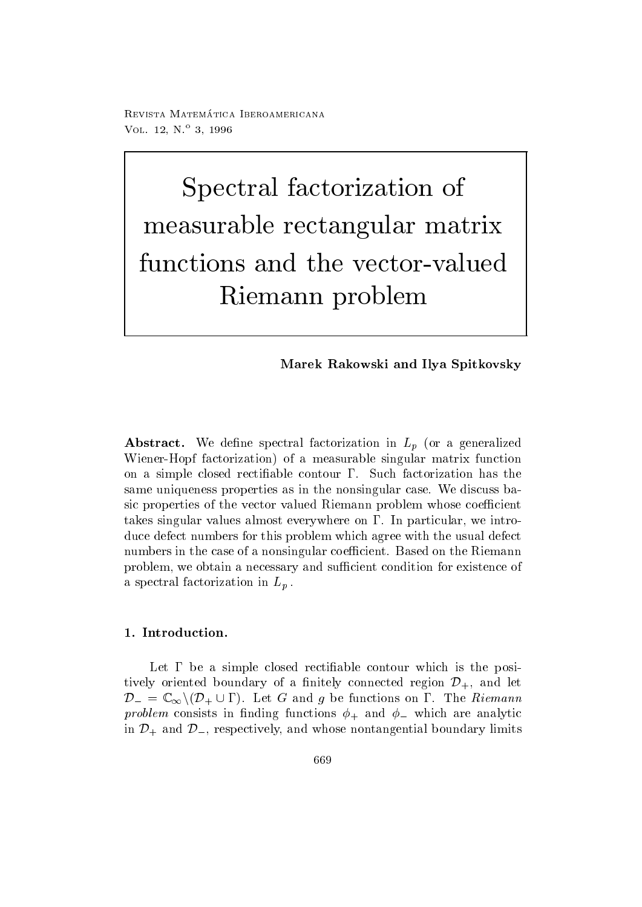100 Thomas - Andreamericana, approximante china VOL  $12, N = 3, 1990$ 

Spectral factorization of measurable rectangular matrix matrix matrix matrix and all all contracts of the contracts of the contracts of the contracts of the contracts of the contracts of the contracts of the contracts of the contracts of the contra functions and the vector-valuedRiemann problem

# Marek Rakowski and Ilya Spitkovsky

 $\mathcal{A}$  are defined in Let or a generalized in Let  $\mathcal{A}$  and  $\mathcal{A}$  are defined in Let or a generalized in Let or  $\mathcal{A}$ Wiener-Hopf factorization) of a measurable singular matrix function on a simple closed rectification has the contour of the contour of the contour of the contour of the contour o same uniqueness properties as in the nonsingular case. We discuss basic properties of the vector valued Riemann problem whose coefficient takes singular values almost everywhere on  $\Gamma$ . In particular, we introduce defect numbers for this problem which agree with the usual defect numbers in the case of a nonsingular coefficient. Based on the Riemann problem, we obtain a necessary and sufficient condition for existence of a spectral factorization in  $L_p$ .

Let be a simple closed recti-able contour which is the posi tively oriented boundary of a finitely connected region  $\mathcal{D}_{+}$ , and let  $\mathcal{D}_- = \mathbb{C}_{\infty} \setminus (\mathcal{D}_+ \cup \Gamma)$ . Let G and g be functions on  $\Gamma$ . The Riemann  $\mathbf{r}$  is consistent in the summation constant  $\mathbf{r}$  in the  $\mathbf{r}$  - which are an analytically the summation of  $\mathbf{r}$ in  $\mathcal{D}_+$  and  $\mathcal{D}_-$ , respectively, and whose nontangential boundary limits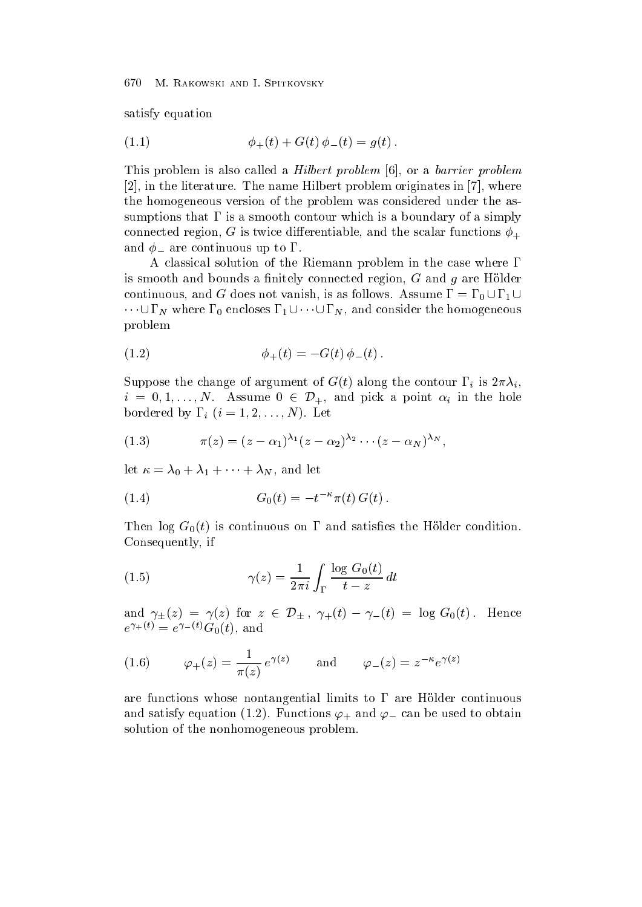satisfy equation

(1.1) 
$$
\phi_{+}(t) + G(t) \phi_{-}(t) = g(t).
$$

This problem is also called a *Hilbert problem*  $[6]$ , or a *barrier problem*  $[2]$ , in the literature. The name Hilbert problem originates in  $[7]$ , where the homogeneous version of the problem was considered under the as sumptions that  $\Gamma$  is a smooth contour which is a boundary of a simply connected regions and the scalar functions of the scalar functions  $\mathcal{I}$  and the scalar functions  $\mathcal{I}$ and - are continuous up to the continuous up to the continuous up to the continuous up to the continuous up to

A classical solution of the Riemann problem in the case where  $\Gamma$ is smooth and bounds a -nitely connected region G and g are Holder continuous, and G does not vanish, is as follows. Assume  $\Gamma = \Gamma_0 \cup \Gamma_1 \cup$  $\cdots \cup \Gamma_N$  where  $\Gamma_0$  encloses  $\Gamma_1 \cup \cdots \cup \Gamma_N$ , and consider the homogeneous problem

(1.2) 
$$
\phi_{+}(t) = -G(t)\,\phi_{-}(t)\,.
$$

Suppose the change of argument of  $G(t)$  along the contour  $\Gamma_i$  is  $2\pi\lambda_i$ ,  $i = 0, 1, \ldots, N$ . Assume  $0 \in \mathcal{D}_{+}$ , and pick a point  $\alpha_i$  in the hole bordered by indicate the contract of the contract of  $\mathcal{N}$ 

(1.3) 
$$
\pi(z) = (z - \alpha_1)^{\lambda_1} (z - \alpha_2)^{\lambda_2} \cdots (z - \alpha_N)^{\lambda_N},
$$

let  $\kappa = \lambda_0 + \lambda_1 + \cdots + \lambda_N$ , and let

(1.4) 
$$
G_0(t) = -t^{-\kappa} \pi(t) G(t).
$$

the final continuous on the Holder continuous on the Holder condition of the Holder conditions of the Holder co Consequently, if

(1.5) 
$$
\gamma(z) = \frac{1}{2\pi i} \int_{\Gamma} \frac{\log G_0(t)}{t - z} dt
$$

and  $\gamma_{\pm}(z) = \gamma(z)$  for  $z \in \mathcal{D}_{\pm}$ ,  $\gamma_{\pm}(t) - \gamma_{-}(t) = \log G_0(t)$ . Hence  $e^{\tau + \tau/\tau} \equiv e^{\tau - \tau/\tau} \mathbf{G}_0(t)$ , and

(1.6) 
$$
\varphi_{+}(z) = \frac{1}{\pi(z)} e^{\gamma(z)} \quad \text{and} \quad \varphi_{-}(z) = z^{-\kappa} e^{\gamma(z)}
$$

are functions whose nontangential limits to  $\Gamma$  are Hölder continuous and satisfy equation  $\left( -1 \right)$  is and to obtain  $\mu$  . The used to obtain the used to obtain solution of the nonhomogeneous problem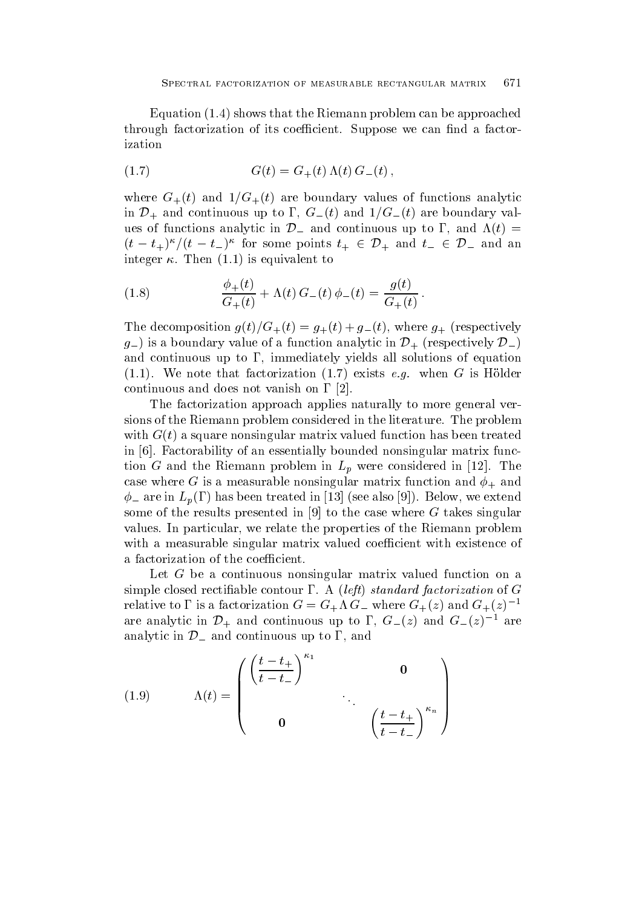Equation  $(1.4)$  shows that the Riemann problem can be approached through factorization of its coefficient Suppose we can afactorization of  $\mathcal{A}$ ization

(1.7) 
$$
G(t) = G_{+}(t) \Lambda(t) G_{-}(t),
$$

where  $G_{+}(t)$  and  $1/G_{+}(t)$  are boundary values of functions analytic in  $\mathcal{D}_+$  and continuous up to  $\Gamma$ ,  $G_{-}(t)$  and  $1/G_{-}(t)$  are boundary values of functions analytic in  $\mathcal{D}_-$  and continuous up to  $\Gamma$ , and  $\Lambda(t)$  =  $(t-t_+)^{\kappa}/(t-t_-)^{\kappa}$  for some points  $t_+ \in \mathcal{D}_+$  and  $t_- \in \mathcal{D}_-$  and an integer  $\kappa$ . Then  $(1.1)$  is equivalent to

(1.8) 
$$
\frac{\phi_+(t)}{G_+(t)} + \Lambda(t) G_-(t) \phi_-(t) = \frac{g(t)}{G_+(t)}.
$$

The decomposition  $g(t)/G_+(t) = g_+(t) + g_-(t)$ , where  $g_+$  (respectively  $g_{-}$ ) is a boundary value of a function analytic in  $\mathcal{D}_{+}$  (respectively  $\mathcal{D}_{-}$ ) and continuous up to  $\Gamma$ , immediately yields all solutions of equation when  $\alpha$  is that factorization is the contribution of  $\alpha$  is the contribution of the contribution of the contribution of the contribution of the contribution of the contribution of the contribution of the contribution of continuous and does not vanish on  $\Gamma$  [2].

The factorization approach applies naturally to more general ver sions of the Riemann problem considered in the literature. The problem with  $G(t)$  a square nonsingular matrix valued function has been treated in [6]. Factorability of an essentially bounded nonsingular matrix function G and the Riemann problem in  $L_p$  were considered in [12]. The case where  $\alpha$  is a measurable nonsingular matrix function and  $\tau_{\rm T}$  measurable  $\mathbf{v}$  are in the set also treated in the see also treated in the see also treated in the see also treated in the see also transformation of the see also transformation of the see also transformation of the see also tra some of the results presented in  $[9]$  to the case where G takes singular values. In particular, we relate the properties of the Riemann problem with a measurable singular matrix valued coefficient with existence of a factorization of the coefficient.

Let G be a continuous nonsingular matrix valued function on a simple contour able contour contract and a left state  $\mu$  is a left state of Green of Green of Green and Green relative to 1 is a factorization  $G = G_+\Lambda G_-$  where  $G_+(z)$  and  $G_+(z)$ are analytic in  $\mathcal{D}_+$  and continuous up to  $\Gamma$ ,  $G_-(z)$  and  $G_-(z)^{-1}$  are analytic in  $\mathcal{D}_-$  and continuous up to  $\Gamma$ , and

(1.9) 
$$
\Lambda(t) = \begin{pmatrix} \left(\frac{t-t_+}{t-t_-}\right)^{\kappa_1} & 0 \\ 0 & \cdots & \left(\frac{t-t_+}{t-t_-}\right)^{\kappa_n} \end{pmatrix}
$$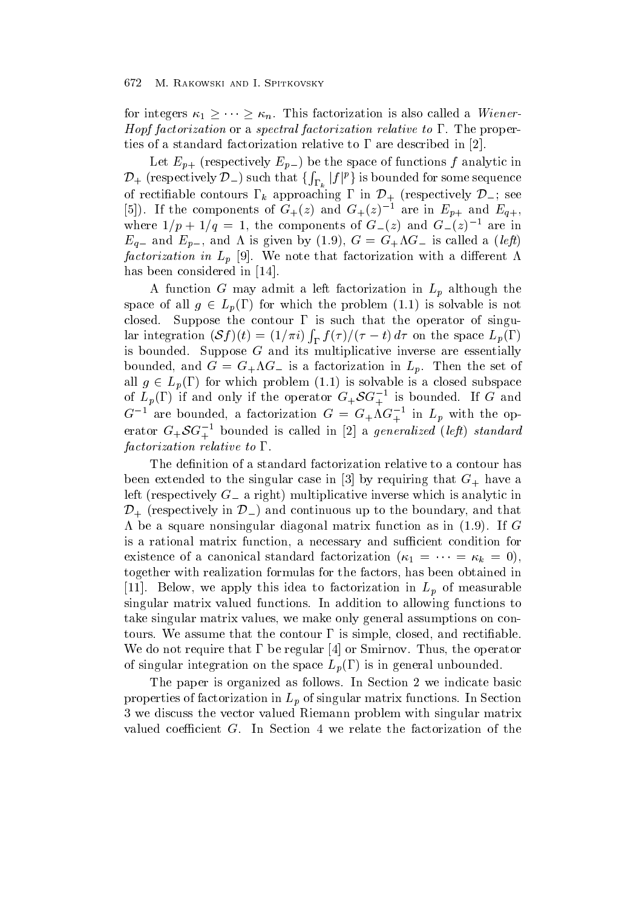for integers  $\kappa_1 \geq \cdots \geq \kappa_n$ . This factorization is also called a *Wiener*-Hopf factorization or a spectral factorization relative to  $\Gamma$ . The properties of a standard factorization relative to  $\Gamma$  are described in [2].

Let  $E_{p+}$  (respectively  $E_{p-}$ ) be the space of functions f analytic in  ${\cal D}_+$  (respectively  ${\cal D}_-)$  such that  $\{\int_{\Gamma_k}|f|^p\}$  is bounded for some sequence of rectifiable contours  $\Gamma_k$  approaching  $\Gamma$  in  $\mathcal{D}_+$  (respectively  $\mathcal{D}_-$ ; see [5]). If the components of  $G_{+}(z)$  and  $G_{+}(z)^{-1}$  are in  $E_{p+}$  and  $E_{q+}$ , where  $1/p + 1/q = 1$ , the components of  $G_-(z)$  and  $G_-(z)$  are in Eq and Ep and is given by <sup>G</sup> GG is called <sup>a</sup> left factorization in  $L_p$  [9]. We note that factorization with a different  $\Lambda$ has been considered in [14].

A function G may admit a left factorization in  $L_p$  although the space of all  $g \in L_p(\Gamma)$  for which the problem  $(1.1)$  is solvable is not closed. Suppose the contour  $\Gamma$  is such that the operator of singular integration  $(Sf)(t) = (1/\pi i) \int_{\Gamma} f(\tau) / (\tau - t) d\tau$  on the space  $L_p(\Gamma)$ is bounded. Suppose  $G$  and its multiplicative inverse are essentially  $\sim$  for a factorization in Legacy in Legacy in Legacy in Legacy in Legacy in Legacy in Legacy in Legacy in Legacy in Legacy in Legacy in Legacy in Legacy in Legacy in Legacy in Legacy in Legacy in Legacy in Legacy in Leg all  $g \in L_p(\Gamma)$  for which problem (1.1) is solvable is a closed subspace of  $L_p(\Gamma)$  if and only if the operator  $G_+\mathcal{S}G_+^{-1}$  is bounded. If G and  $G^+$  are bounded, a factorization  $G = G_+\Lambda G_+$  in  $L_p$  with the operator  $G_+SG_+^{-1}$  bounded is called in [2] a *generalized (left)* standard and the state of the state of the factorization relative to  $\Gamma$ .

been extended to the singular case in  $\mathbb{P}^1$  ,  $\mathbb{P}^1$  ,  $\mathbb{P}^1$  ,  $\mathbb{P}^1$  are  $\mathbb{P}^1$  ,  $\mathbb{P}^1$  ,  $\mathbb{P}^1$  ,  $\mathbb{P}^1$ left (respectively  $G_{-}$  a right) multiplicative inverse which is analytic in  $D_{+}$  (respectively in  $D_{-}$ ) and continuous up to the boundary, and that  $\Lambda$  be a square nonsingular diagonal matrix function as in (1.9). If G is a rational matrix function, a necessary and sufficient condition for existence of a canonical standard factorization  $(\kappa_1 - \cdots - \kappa_k - \upsilon),$ together with realization formulas for the factors, has been obtained in [11]. Below, we apply this idea to factorization in  $L_p$  of measurable singular matrix valued functions In addition to allowing functions to take singular matrix values, we make only general assumptions on conto the control the control the control the control of the control the control the control to an able to an We do not require that  $\Gamma$  be regular [4] or Smirnov. Thus, the operator of singular integration on the space  $L_p(\Gamma)$  is in general unbounded.

The paper is organized as follows. In Section 2 we indicate basic properties of factorization in  $L_p$  of singular matrix functions. In Section 3 we discuss the vector valued Riemann problem with singular matrix valued coefficient  $G$ . In Section 4 we relate the factorization of the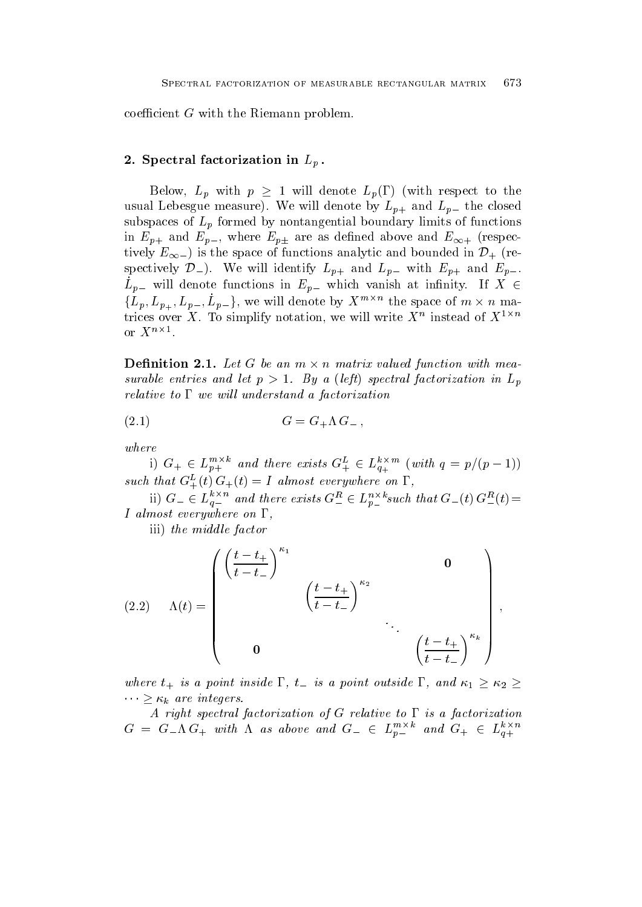coefficient  $G$  with the Riemann problem.

# $\Gamma$  spectral factorization in Lp  $\Gamma$

Below,  $L_p$  with  $p \geq 1$  will denote  $L_p(\Gamma)$  (with respect to the usual Lebesgue measure). We will denote by  $L_{p+}$  and  $L_{p-}$  the closed subspaces of  $L_p$  formed by nontangential boundary limits of functions  $p + p$  in  $p + p$ tively  $E_{\infty-}$ ) is the space of functions analytic and bounded in  $\mathcal{D}_{+}$  (respectively  $\mathcal{D}_{-}$ ). We will identify  $L_{p+}$  and  $L_{p-}$  with  $E_{p+}$  and  $E_{p-}$ .  $L_{p-}$  will denote functions in  $E_{p-}$  which vanish at infinity. If  $X \in$  $\{L_p, L_{p_+}, L_{p_-}, L_{p_-}\},$  we will denote by  $X^{m \times n}$  the space of  $m \times n$  matrices over  $\Lambda$  . To simplify notation, we will write  $\Lambda^+$  instead of  $\Lambda^{+++}$ or  $X^{n\times 1}$ .

**Definition 2.1.** Let G be an  $m \times n$  matrix valued function with measurable entries and let  $p$  ,  $\epsilon$  ,  $\epsilon$  ,  $\epsilon$  ,  $\epsilon$  ,  $\epsilon$  ,  $\epsilon$  ,  $\epsilon$  ,  $\epsilon$  ,  $\epsilon$  ,  $\epsilon$  ,  $\epsilon$  ,  $\epsilon$  ,  $\epsilon$  ,  $\epsilon$  ,  $\epsilon$  ,  $\epsilon$  ,  $\epsilon$  ,  $\epsilon$  ,  $\epsilon$  ,  $\epsilon$  ,  $\epsilon$  ,  $\epsilon$  ,  $\epsilon$  ,  $\epsilon$  ,  $\epsilon$  ,  $\epsilon$  ,  $\epsilon$  ,  $\$ relative to  $\Gamma$  we will understand a factorization

$$
(2.1) \tG = G_+ \Lambda G_-,
$$

where

1)  $G_+ \in L_{p+}^{m \times n}$  and there exists  $G_+^{\mu} \in L_{q+}^{n \times m}$  (with  $q = p/(p-1)$ ) such that  $G^{\perp}_{+}(\iota) G^{\perp}_{+}(\iota) = I$  atmost everywhere on 1,

 $\mu$  iii)  $G_{-}\in L_{q-}^{n\wedge n}$  and there exists  $G_{-}^{n}\in L_{p-}^{n\wedge n}$  such that  $G_{-}(t)\,G_{-}^{n}(t)=0$ I almost everywhere on  $\Gamma$ .

iii) the middle factor

(2.2) 
$$
\Lambda(t) = \begin{pmatrix} \left(\frac{t-t_{+}}{t-t_{-}}\right)^{\kappa_{1}} & & & 0 \\ & & \left(\frac{t-t_{+}}{t-t_{-}}\right)^{\kappa_{2}} & & \\ & & \ddots & \\ & & & \left(\frac{t-t_{+}}{t-t_{-}}\right)^{\kappa_{k}} \end{pmatrix},
$$

where  $t_+$  is a point inside  $\Gamma$ ,  $t_-$  is a point outside  $\Gamma$ , and  $\kappa_1 \geq \kappa_2 \geq$  $\cdots \geq \kappa_k$  are integers.

A right spectral factorization of G relative to  $\Gamma$  is a factorization  $G = G_{-}\Lambda G_{+}$  with  $\Lambda$  as above and  $G_{-} \in L_{p_{-}}^{m_{-}}$  and  $G_{+} \in L_{q_{+}}^{m_{+}}$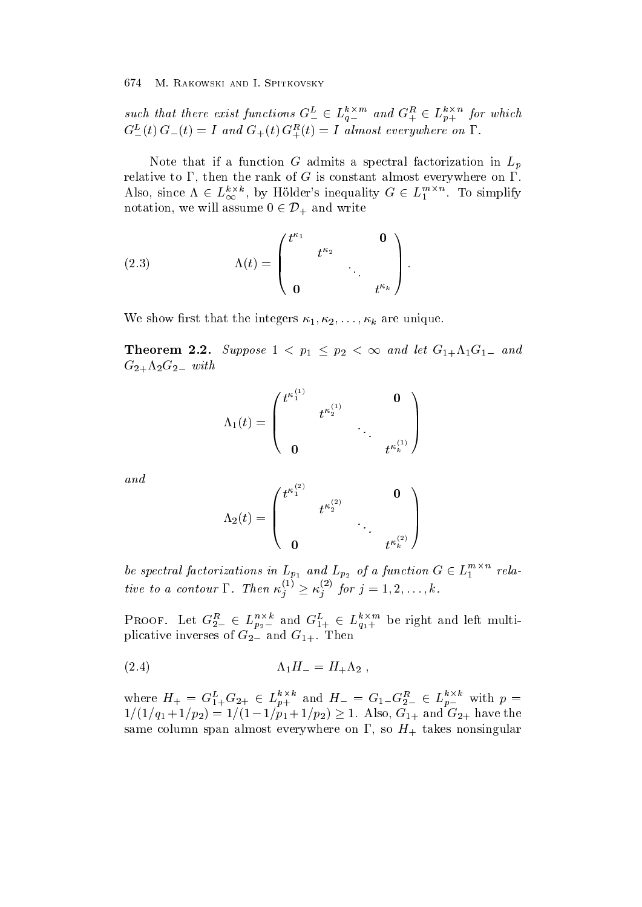such that there exist functions  $G_{-}^{\mu} \in L_{\theta_{-}}^{\nu_{-}}$  and  $G_{+}^{\mu} \in L_{\theta_{+}}^{\nu_{+}}$  for which  $G_{-}(t)$   $G_{-}(t) \equiv 1$  and  $G_{+}(t)$   $G_{+}(t) \equiv 1$  atmost everywhere on 1.

Note that if a function G admits a spectral factorization in  $L_n$ relative to  $\Gamma$ , then the rank of G is constant almost everywhere on  $\Gamma$ . Also, since  $\Lambda \in L_{\infty}^{n}$ , by Holder's inequality  $G \in L_1^{n}$ . To simplify notation, we will assume  $0 \in \mathcal{D}_+$  and write

(2.3) 
$$
\Lambda(t) = \begin{pmatrix} t^{\kappa_1} & & \mathbf{0} \\ & t^{\kappa_2} & \\ \mathbf{0} & & t^{\kappa_k} \end{pmatrix}.
$$

 $\Omega$  that the integers integers integers integers in the integers integers in the integers in the integers in

**Theorem 2.2.** Suppose  $1 < p_1 \leq p_2 < \infty$  and let  $G_{1+}\Lambda_1G_{1-}$  and  $G_2+\Lambda_2G_2$  with

$$
\Lambda_1(t)=\left(\begin{array}{ccc} t^{\kappa_1^{(1)}} & & \mathbf{0} \\ & t^{\kappa_2^{(1)}} & & \\ & & \ddots & \\ \mathbf{0} & & & t^{\kappa_k^{(1)}} \end{array}\right)
$$

and

$$
\Lambda_2(t)=\begin{pmatrix} t^{\kappa_1^{(2)}}&&&{\bf 0}\\&t^{\kappa_2^{(2)}}&&\\&\ddots&\\ {\bf 0}&&t^{\kappa_k^{(2)}}\end{pmatrix}
$$

be spectral factorizations in  $L_{p_1}$  and  $L_{p_2}$  of a function  $G \in L_1^{m \times n}$  relative to a contour  $\Gamma$ . Then  $\kappa_i^{\tau} \geq \kappa_i^{\tau}$  for  $j = 1$ <sup>j</sup> for j k-

PROOF. Let  $G_{2-}^{\prime\prime\prime}\in L_{p_2-}^{n_2,n}$  and  $G_{1+}^{\prime\prime}\in L_{q_1+}^{n_2,n}$  be right and left multiplace in the contraction in the G  $\Delta$  and G and G Then  $\alpha$  Then the C Theorem in the G Theorem in the G Theorem in

$$
\Lambda_1 H_- = H_+ \Lambda_2 \;,
$$

where  $H_+ = G_{1+}^{\nu} G_{2+} \in L_{n+}^{\nu}$  and  $H_- = G_{1-}^{\nu} G_{2-}^{\nu} \in L_{n-}^{\nu}$  with  $p =$  $1/(1/q_1+1/p_2) = 1/(1-1/p_1+1/p_2) \geq 1$ . Also,  $G_{1+}$  and  $G_{2+}$  have the same column span almost even almost even almost even almost even almost  $\Omega$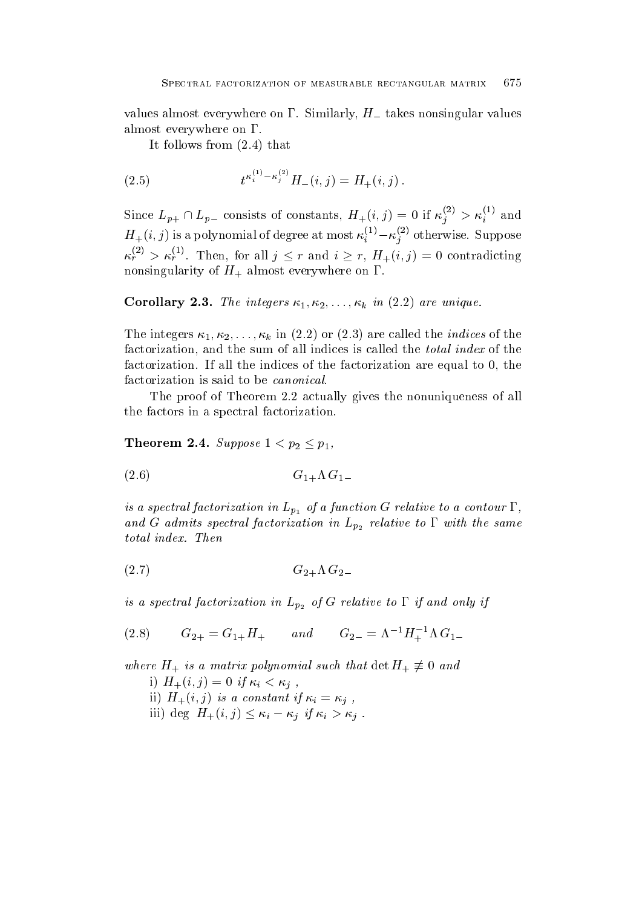values almost everywhere on  $\Gamma$ . Similarly,  $H_{-}$  takes nonsingular values almost everywhere on  $\Gamma$ .

It follows from  $(2.4)$  that

(2.5) 
$$
t^{\kappa_i^{(1)} - \kappa_j^{(2)}} H_-(i,j) = H_+(i,j).
$$

Since  $L_{p+} \cap L_{p-}$  consists of constants,  $H_+(i,j) = 0$  if  $\kappa_i^{(-)} > \kappa_i^{(+)}$  and  $H_+(i,j)$  is a polynomial of degree at most  $\kappa_i^{i-j} - \kappa_j^{i-j}$  otherwise. Suppose  $\kappa_r^{(2)} > \kappa_r^{(1)}$ . Then, for all  $j \leq r$  and  $i \geq r$ ,  $H_+(i,j) = 0$  contradicting nonsingularity of H almost everywhere on

Corollary -- The integers k in are unique-

The integers  $\kappa_1, \kappa_2, \ldots, \kappa_k$  in (2.2) or (2.3) are called the *indices* of the factorization, and the sum of all indices is called the *total index* of the factorization. If all the indices of the factorization are equal to  $0$ , the factorization is said to be *canonical*.

The proof of Theorem 2.2 actually gives the nonuniqueness of all the factors in a spectral factorization

**Theorem 2.4.** Suppose  $1 < p_2 \leq p_1$ ,

$$
(2.6) \tG1+ \Lambda G1-
$$

is a spectral factorization in  $L_{p_1}$  of a function G relative to a contour  $\Gamma$ , and G admits spectral factorization in  $p_2$ 

$$
(2.7) \tG2+ \Lambda G2-
$$

is a spectral factorization in Lemma in Lemma in Lemma in Lemma in Lemma in Lemma in Lemma in Lemma in Lemma i

(2.8) 
$$
G_{2+} = G_{1+}H_+
$$
 and  $G_{2-} = \Lambda^{-1}H_+^{-1}\Lambda G_{1-}$ 

where  $H_+$  is a matrix polynomial such that  $\det H_+ \not\equiv 0$  and i for  $i$  if if it is a contract of the  $i$  if  $i$  if  $i$  if  $i$  if  $i$  if  $i$  if  $i$  if  $i$  if  $i$  if  $i$  if  $i$  if  $i$  if  $i$  if  $i$  if  $i$  if  $i$  if  $i$  if  $i$  if  $i$  if  $i$  if  $i$  if  $i$  if  $i$  if  $i$  if  $i$  if  $i$  if if it is a constant if it is a constant if it is a constant if it is a constant if  $i$ iii) deg  $H_+(i,j) \leq \kappa_i - \kappa_j$  if  $\kappa_i > \kappa_j$ .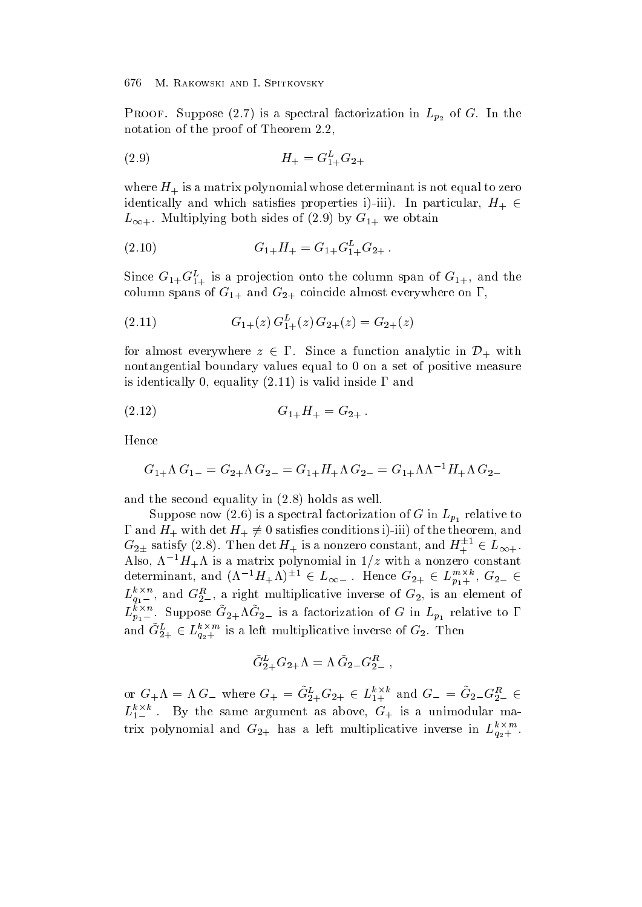$\mathbb{P}$  suppose that is a spectral factorization in Lp-1 is a spectral factorization in Lp-1 is a spectral factorization in Lp-1 is a spectral factorization in Lp-1 is a spectral factorization in Lp-1 is a spectral facto notation of the proof of Theorem 2.2,

$$
(2.9) \t\t H_{+} = G_{1+}^{L} G_{2+}
$$

where H is a matrix polynomial whose determinant is not equal to zero equal to zero  $\pm$ identically and which satisfaction in particular and which satisfaction in particular and the satisfaction of t L- Multiplying both sides of by G we obtain

$$
(2.10) \tG1+H+ = G1+G1+LG2+.
$$

Since  $G_1 + G_1 + G_2$  is a projection onto the column span of  $G_1 + G_2$  and the column spans of G and G coincide almost everywhere on the coincide almost every where  $\mu$ 

$$
(2.11) \tG1+(z) G1+L(z) G2+(z) = G2+(z)
$$

for almost everywhere  $z \in \Gamma$ . Since a function analytic in  $\mathcal{D}_+$  with nontangential boundary values equal to 0 on a set of positive measure is identically 0, equality  $(2.11)$  is valid inside  $\Gamma$  and

$$
(2.12) \tG1+H+ = G2+.
$$

Hence

$$
G_{1+}\Lambda G_{1-}=G_{2+}\Lambda G_{2-}=G_{1+}H_{+}\Lambda G_{2-}=G_{1+}\Lambda\Lambda^{-1}H_{+}\Lambda G_{2-}
$$

and the second equality in  $(2.8)$  holds as well.

Suppose now (2.6) is a spectral factorization of G in  $L_{p_1}$  relative to  $\Gamma$  and  $H_+$  with  $\det H_+ \not\equiv 0$  satisfies conditions i)-iii) of the theorem, and  $G_{2\pm}$  satisfy (2.8). Then det  $H_+$  is a nonzero constant, and  $H_+^{\pm\pm} \in L_{\infty+}$ . the property of the contract of the contract of the contract of the contract of Also, A  $H_+$ A is a matrix polynomial in  $1/z$  with a nonzero constant determinant, and  $(\Lambda^{-1}H_{+}\Lambda)^{\perp 1} \in L_{\infty}$ . Hence  $G_{2+} \in L_{p_1+}^{m_1,n_2}$ ,  $G_{2-} \in$  $L_{q_1-}$ , and  $G_2^{\infty}$ , a right multiplicative inverse of  $G_2$ , is an element of  $L_{p_1-}$ . Suppose  $G_{2+}\Lambda G_{2-}$  is a factorization of G in  $L_{p_1}$  relative to 1 and  $G_{2+}^{\nu}\in L_{q_2+}^{*\infty,\text{nc}}$  is a left multiplicative inverse of  $G_2$ . Then

$$
\tilde{G}_{2+}^LG_{2+}\Lambda = \Lambda\,\tilde{G}_{2-}G_{2-}^R\ ,
$$

or  $G_{+}\Lambda = \Lambda G_{-}$  where  $G_{+} = G_{2+}^{2}G_{2+} \in L_{1+}^{n}$  and  $G_{-} = G_{2-}G_{2-}^{n} \in$  $L_{1-}$  . By the same argument as above,  $G_+$  is a unimodular matrix polynomial and  $G_{2+}$  has a left multiplicative inverse in  $L_{q_{2+}}$  .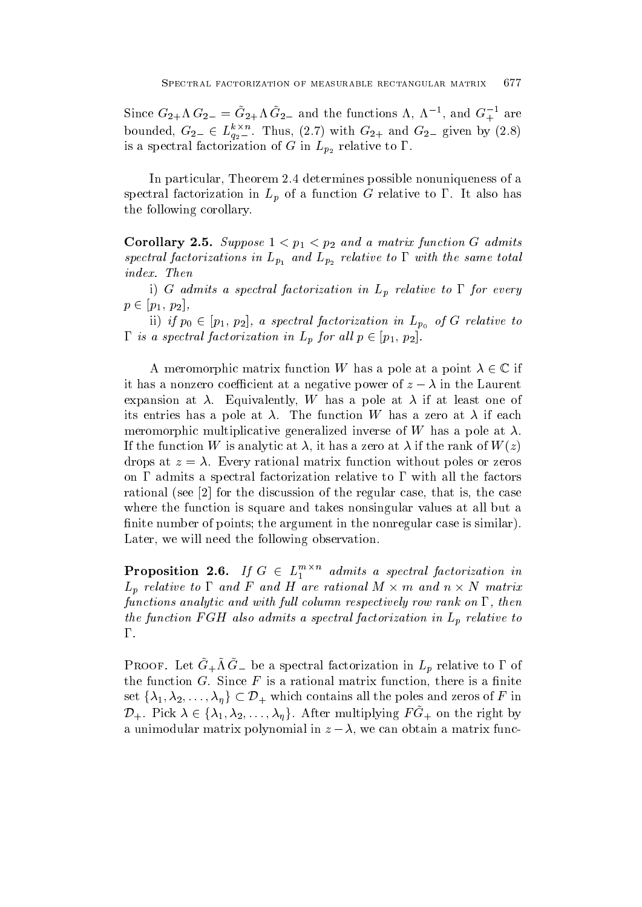Since  $G_{2+}\Lambda G_{2-} = G_{2+}\Lambda G_{2-}$  and the functions  $\Lambda$ ,  $\Lambda$ ,  $\Lambda$ , and  $G_{+}$ , are bounded,  $G_{2-} \in L_{q_2-}^{r_2}$ . Thus,  $(2.7)$  with  $G_{2+}$  and  $G_{2-}$  given by  $(2.8)$ is a spectral factorization of  $p_2$ 

In particular, Theorem 2.4 determines possible nonuniqueness of a spectral factorization in  $L_p$  of a function G relative to  $\Gamma$ . It also has the following corollary

 $\sim$  suppose that is a matrix function  $\sim$  suppose that is a matrix function  $\sim$  suppose that is a matrix function  $\sim$  $\mathbf{r}$  is and  $\mathbf{r}$  and  $\mathbf{r}$  and  $\mathbf{r}$  is an analyzing total same to  $\mathbf{r}$ 

i) G admits a spectral factorization in  $L_p$  relative to  $\Gamma$  for every  $p \in [p_1, p_2],$ 

ii if p- p p <sup>a</sup> spectral factorization in Lp of <sup>G</sup> relative to  $\Gamma$  is a spectral factorization in  $L_p$  for all  $p \in [p_1, p_2]$ .

A meromorphic matrix function W has a pole at a point  $\lambda \in \mathbb{C}$  if it has a nonzero coefficient at a negative power of  $z - \lambda$  in the Laurent expansion at  $\lambda$ . Equivalently, W has a pole at  $\lambda$  if at least one of its entries has a pole at  $\lambda$ . The function W has a zero at  $\lambda$  if each meromorphic multiplicative generalized inverse of W has a pole at  $\lambda$ . If the function W is analytic at  $\lambda$ , it has a zero at  $\lambda$  if the rank of  $W(z)$ drops at z  $\mathbb{R}$  at z  $\mathbb{R}$  at z  $\mathbb{R}$  at z  $\mathbb{R}$  at zeros or  $\mathbb{R}$  . The series or  $\mathbb{R}$ on  $\Gamma$  admits a spectral factorization relative to  $\Gamma$  with all the factors rational (see  $\lbrack 2\rbrack$  for the discussion of the regular case, that is, the case where the function is square and takes nonsingular values at all but a -nite number of points the argument in the nonregular case is similar Later, we will need the following observation.

**Proposition 2.6.** If  $G \in L_1^{m \times n}$  admits a spectral factorization in  $L_p$  relative to  $\Gamma$  and  $F$  and  $H$  are rational  $M \times m$  and  $n \times N$  matrix functions analytic and with full column respectively row rank on  $\Gamma$ , then the function FGH also admits a spectral factorization in  $L_p$  relative to  $\Gamma$ .

I ROOF. Let  $G + M G = \nu e$  a spectral factorization in  $L_p$  relative to T of the function  $\mathbf{f}(\cdot)$  is a rational matrix function  $\mathbf{f}(\cdot)$  and  $\mathbf{f}(\cdot)$  are is a -minimization of  $\mathbf{f}(\cdot)$ set  $\{\lambda_1, \lambda_2, \ldots, \lambda_{\eta}\} \subset \mathcal{D}_+$  which contains all the poles and zeros of F in  $\mathcal{D}_+$ . Pick  $\lambda \in \{\lambda_1, \lambda_2, \ldots, \lambda_n\}$ . After multiplying  $FG_+$  on the right by a unimodular matrix polynomial in  $z - \lambda$ , we can obtain a matrix func-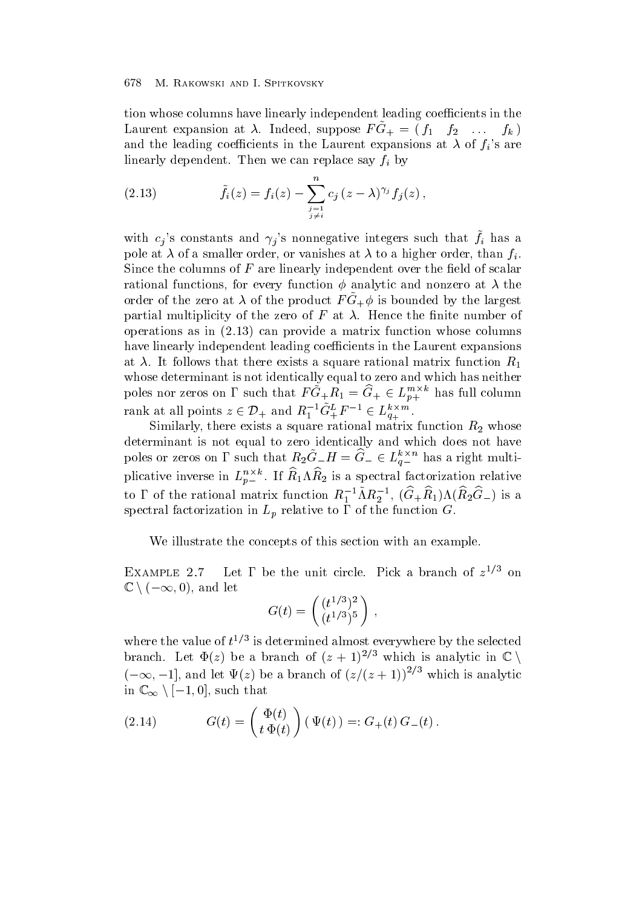tion whose columns have linearly independent leading coefficients in the Laurent expansion at  $\lambda$ . Indeed, suppose  $I' \cup I_+ = \emptyset$   $I_1 \cup I_2 \cup \cdots \cup I_k$ and the leading coefficients in the Laurent expansions at  $\lambda$  of  $f_i$ 's are linearly dependent. Then we can replace say  $f_i$  by

(2.13) 
$$
\tilde{f}_i(z) = f_i(z) - \sum_{\substack{j=1 \ j \neq i}}^n c_j (z - \lambda)^{\gamma_j} f_j(z) ,
$$

with  $c_j$  s constants and  $\gamma_j$  s nonnegative integers such that  $f_i$  has a pole at  $\lambda$  of a smaller order, or vanishes at  $\lambda$  to a higher order, than  $f_i$ . since the columns of F are dimensional independent over the line of scalars of scalars of scalars of  $\sim$ rational functions for every function - analytic and nonzero at the  $\sigma$  and  $\sigma$  at  $\sigma$  of the product  $\Gamma$  G  $\mu$  is bounded by the largest partial multiplicity of the first of F at Hence the - and -  $\alpha$ operations as in  $(2.13)$  can provide a matrix function whose columns have linearly independent leading coefficients in the Laurent expansions at  $\lambda$ . It follows that there exists a square rational matrix function  $R_1$ whose determinant is not identically equal to zero and which has neither poles nor zeros on  $\Gamma$  such that  $FG_+R_1 = G_+ \in L_{n+}^{\infty}$  has full column rank at all points  $z \in \mathcal{D}_+$  and  $R_1^{-1}G_+^L F^{-1} \in L_{q_+}^{\kappa \times m}$ .

Similarly there exists a square rational matrix function  $\Gamma$  whose  $\Gamma$  whose  $\Gamma$ determinant is not equal to zero identically and which does not have poles or zeros on 1' such that  $R_2G_-H=G_-\in L_{a-}^{n\infty}$  has a right multiplicative inverse in  $L_{p-}^{--}$ . If  $R_1 \Lambda R_2$  is a spectral factorization relative to 1 of the rational matrix function  $R_1$   $\lceil \Lambda R_2 \rceil$ ,  $(G_+R_1) \Lambda (R_2G_-)$  is a spectral factorization in Lemma in Lemma in Lemma in Lemma in Lemma in Lemma in Lemma in Lemma in Lemma in Lemma

We illustrate the concepts of this section with an example.

 $EXAMPLE 2.7$  $\ell$  Let 1 be the unit circle. Pick a branch of  $z^{-\ell}$  on  $\mathbb{C} \setminus (-\infty, 0)$ , and let

$$
G(t)=\left( \frac{(t^{1/3})^2}{(t^{1/3})^5} \right)\,,
$$

where the value of  $t^{\gamma}$  is determined almost everywhere by the selected branch. Let  $\Phi(z)$  be a branch of  $(z + 1)^{2/3}$  which is analytic in  $\mathbb{C}$  $(-\infty, -1]$ , and let  $\Psi(z)$  be a branch of  $(z/(z+1))^{2/3}$  which is analytic in  $\mathbb{C}_{\infty} \setminus [-1,0]$ , such that

(2.14) 
$$
G(t) = \begin{pmatrix} \Phi(t) \\ t \Phi(t) \end{pmatrix} (\Psi(t)) =: G_{+}(t) G_{-}(t).
$$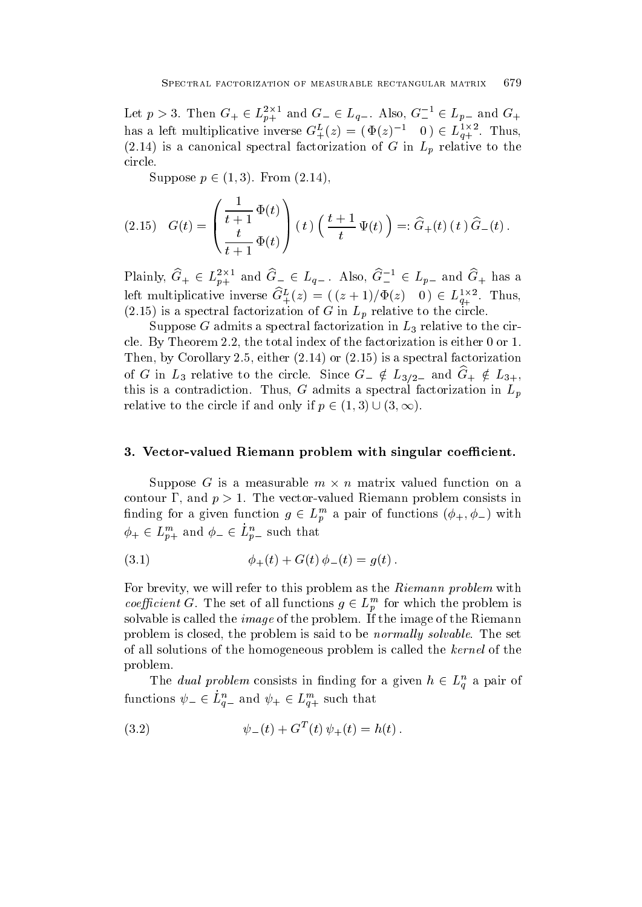Let  $p > 3$ . Then  $G_+ \in L_{p+}^{\infty}$  and  $G_- \in L_{q-}$ . Also,  $G_-^{\dagger} \in L_{p-}$  and  $G_+$ has a left multiplicative inverse  $G_{+}^{\mu}(z) = (\Phi(z)^{-1} \quad 0) \in L_{a+}^{+\infty}$ . Thus, (2.14) is a canonical spectral factorization of G in  $L_p$  relative to the circle

Suppose  $p \in (1,3)$ . From  $(2.14)$ .

$$
(2.15) \quad G(t) = \left(\frac{\frac{1}{t+1} \Phi(t)}{\frac{t}{t+1} \Phi(t)}\right)(t) \left(\frac{t+1}{t} \Psi(t)\right) =: \hat{G}_+(t) (t) \hat{G}_-(t).
$$

Plainly,  $G_+ \in L_{p+}^{\infty}$  and  $G_- \in L_{q-}$ . Also,  $G_-^{\dagger} \in L_{p-}$  and  $G_+$  has a left multiplicative inverse  $G_{+}^{\mu}(z) = (z+1)/\Phi(z)$  (  $0 \in L_{q_{+}}^{1,2}$ . Thus, is a spectral factorization of G in Lp relation of G in Lp relation of G in Lp relation of G in Lp relation of  $\mu$ 

Suppose G admits a spectral factorization in L relation in L relation in L relation in L relation in L relation cle. By Theorem 2.2, the total index of the factorization is either  $0$  or  $1$ . Then, by Corollary 2.5, either  $(2.14)$  or  $(2.15)$  is a spectral factorization of G in  $L_3$  relative to the circle. Since  $G_{-} \notin L_{3/2}$  and  $G_{+} \notin L_{3+}$ , this is a contradiction. Thus, G admits a spectral factorization in  $L_p$ relative to the circle if and only if  $p \in (1,3) \cup (3,\infty)$ .

## - Vectorvalued Riemann problem with singular coecient-

Suppose G is a measurable  $m \times n$  matrix valued function on a contour  $\Gamma$ , and  $p > 1$ . The vector-valued Riemann problem consists in finding for a given function  $g \in L_p^m$  a pair of functions  $(\phi_+, \phi_-)$  with  $\phi_+ \in L_{p+}^m$  and  $\phi_- \in L_{p-}^n$  such that

(3.1) 
$$
\phi_{+}(t) + G(t) \phi_{-}(t) = g(t).
$$

For brevity, we will refer to this problem as the Riemann problem with *coefficient* G. The set of all functions  $g \in L_p^m$  for which the problem is solvable is called the *image* of the problem. If the image of the Riemann problem is closed, the problem is said to be *normally solvable*. The set of all solutions of the homogeneous problem is called the kernel of the problem

The *dual problem* consists in finding for a given  $h \in L_q^n$  a pair of functions  $\psi_-\in L_{q-}^n$  and  $\psi_+\in L_{q+}^{n}$  such that

(3.2) 
$$
\psi_{-}(t) + G^{T}(t) \psi_{+}(t) = h(t).
$$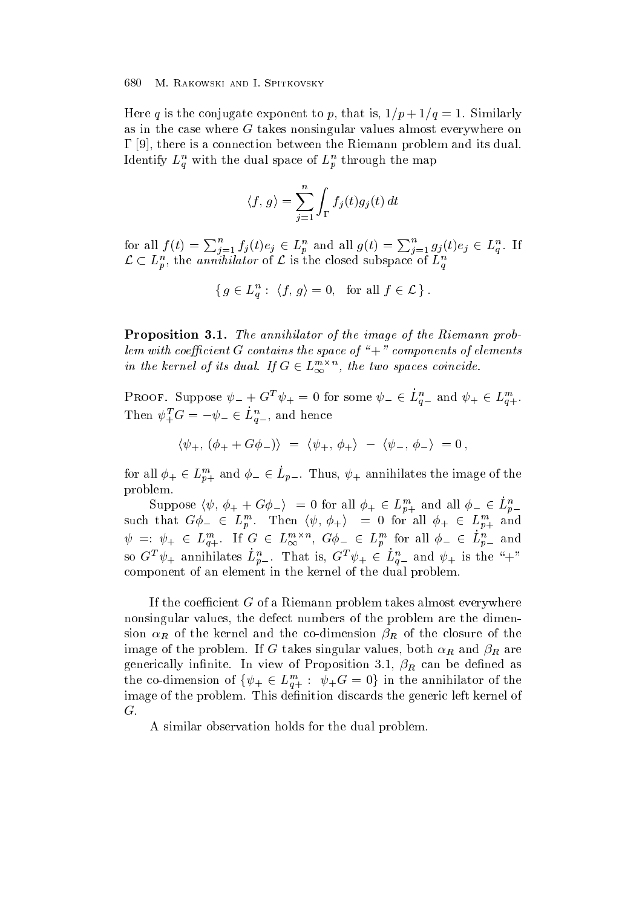. Here a similar to positive to positive exponent to positive exponent to p  $\mathcal{S}$ as in the case where G takes nonsingular values almost everywhere on  $\Gamma$  [9], there is a connection between the Riemann problem and its dual. rdentify  $L_q$  with the dual space of  $L_p$  through the map

$$
\langle f, g \rangle = \sum_{j=1}^{n} \int_{\Gamma} f_j(t) g_j(t) dt
$$

for all  $f(t) = \sum_{j=1}^{n} f_j(t)e_j \in L_p^n$  and all  $g(t) = \sum_{j=1}^{n} g_j(t)e_j \in L_q^n$ . If  $\mathcal{L} \subset L_p^n$ , the annihilator of  $\mathcal{L}$  is the closed subspace of  $L_q^n$ 

$$
\{ g \in L_q^n : \langle f, g \rangle = 0, \text{ for all } f \in \mathcal{L} \}.
$$

Proposition -- The annihilator of the image of the Riemann prob lem with coefficient G contains the space of " $+$ " components of elements in the kernel of its dual. If  $G \in L_{\infty}^{m \times n}$ , the two spaces coincide.

PROOF. Suppose  $\psi_- + G^T \psi_+ = 0$  for some  $\psi_- \in L_{a-}^n$  and  $\psi_+ \in L_{a+}^{n*}$ . Then  $\psi_+^L G = -\psi_- \in L_{q-}^n$ , and hence

$$
\langle \psi_+,\, (\phi_+ + G \phi_-) \rangle \;=\; \langle \psi_+,\, \phi_+ \rangle \;-\; \langle \psi_-,\, \phi_- \rangle \;=\mathbb{0} \;,
$$

for all  $\phi_+ \in L_{n+}^m$  and  $\phi_- \in L_{p-}$ . Thus,  $\psi_+$  annihilates the image of the problem

Suppose  $\langle \psi, \phi_+ + G \phi_- \rangle = 0$  for all  $\phi_+ \in L_{p+}^m$  and all  $\phi_- \in L_{p-}^n$ such that  $G\phi_-\in L_n^m$ . Then  $\langle \psi, \phi_+\rangle = 0$  for all  $\phi_+\in L_{n+}^m$  and  $\psi = \psi_+ \in L_{q_+}^{m_+}$ . If  $G \in L_{\infty}^{m_2}$ ,  $G\phi_- \in L_p^m$  for all  $\phi_- \in L_{p_-}^{n_-}$  and so  $G^T \psi_+$  annihilates  $L_{n-}^{\mu}$ . That is,  $G^T \psi_+ \in L_{n-}^{\mu}$  and  $\psi_+$  is the "+" component of an element in the kernel of the dual problem

If the coefficient  $G$  of a Riemann problem takes almost everywhere nonsingular values, the defect numbers of the problem are the dimension  $\alpha_R$  of the kernel and the co-dimension  $\beta_R$  of the closure of the image of the problem. If G takes singular values, both  $\alpha_R$  and  $\beta_R$  are generically information in the U.S. can be dependenced with  $\mu$   $\mu$  cannot can be defined as the co-dimension of  $\{\psi_+ \in L_{q+}^m : \psi_+ G = 0\}$  in the annihilator of the image of the problem This de-nition discards the generic left kernel of  $G$ .

A similar observation holds for the dual problem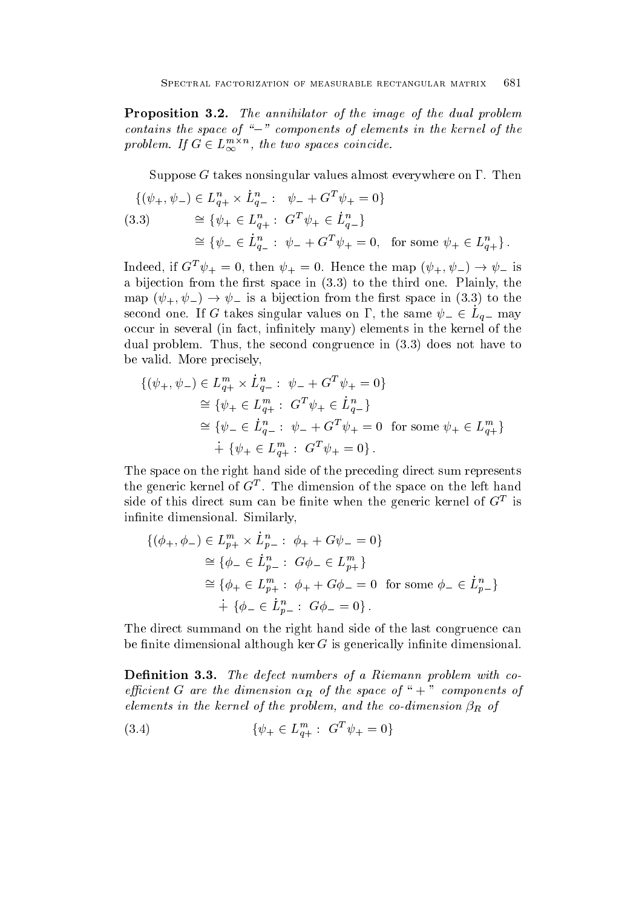Proposition -- The annihilator of the image of the dual problem contains the space of " $-$ " components of elements in the kernel of the problem. If  $G \in L_{\infty}^{m \times n}$ , the two spaces coincide.

Suppose G takes nonsingular values almost everywhere on  $\Gamma$ . Then

$$
\{(\psi_+,\psi_-) \in L_{q+}^n \times \dot{L}_{q-}^n : \psi_- + G^T \psi_+ = 0\}
$$
  
(3.3) 
$$
\cong \{\psi_+ \in L_{q+}^n : G^T \psi_+ \in \dot{L}_{q-}^n\}
$$

$$
\cong \{\psi_- \in \dot{L}_{q-}^n : \psi_- + G^T \psi_+ = 0, \text{ for some } \psi_+ \in L_{q+}^n\}.
$$

Indeed, if  $G^* \psi_+ = 0$ , then  $\psi_+ = 0$ . Hence the map  $(\psi_+, \psi_-) \to \psi_-$  is a bijection from the - rst space in to the third one Plainly the third one Plainly the third one Plainly the map  $(\psi_+, \psi_-) \rightarrow \psi_-$  is a bijection from the first space in (3.3) to the second one. If G takes singular values on  $\Gamma$ , the same  $\psi_-\in L_{q-}$  may occur in several in factor in the complete in the complete interval of the kernel of the kernel of the kernel dual problem. Thus, the second congruence in  $(3.3)$  does not have to be valid. More precisely,

$$
\{(\psi_+,\psi_-) \in L_{q+}^m \times L_{q-}^n : \psi_- + G^T \psi_+ = 0\}
$$
  
\n
$$
\cong \{\psi_+ \in L_{q+}^m : G^T \psi_+ \in L_{q-}^n\}
$$
  
\n
$$
\cong \{\psi_- \in L_{q-}^n : \psi_- + G^T \psi_+ = 0 \text{ for some } \psi_+ \in L_{q+}^m\}
$$
  
\n
$$
\vdots \{\psi_+ \in L_{q+}^m : G^T \psi_+ = 0\}.
$$

The space on the right hand side of the preceding direct sum represents the generic kernel of  $G^-$ . The dimension of the space on the left hand  $\frac{1}{100}$  side of this direct sum can be finite when the generic kernel of  $\bf G$  is in-nite dimensional Similarly 

$$
\{(\phi_+,\phi_-) \in L_{p+}^m \times L_{p-}^n : \phi_+ + G\psi_- = 0\}
$$
  
\n
$$
\cong \{\phi_- \in \dot{L}_{p-}^n : G\phi_- \in L_{p+}^m\}
$$
  
\n
$$
\cong \{\phi_+ \in L_{p+}^m : \phi_+ + G\phi_- = 0 \text{ for some } \phi_- \in \dot{L}_{p-}^n\}
$$
  
\n
$$
\dot{+} \{\phi_- \in \dot{L}_{p-}^n : G\phi_- = 0\}.
$$

The direct summand on the right hand side of the last congruence can nite dimensional although ker G is generically in-dimensional although ker G is generically in-dimensional although ker G is generically in-dimensional although  $\alpha$ 

Denition -- The defect numbers of a Riemann problem withco efficient G are the dimension  $\alpha_R$  of the space of "+" components of elements in the kernel of the problem, and the co-dimension  $\beta_R$  of

$$
(3.4) \t\t \{ \psi_+ \in L_{a+}^m : G^T \psi_+ = 0 \}
$$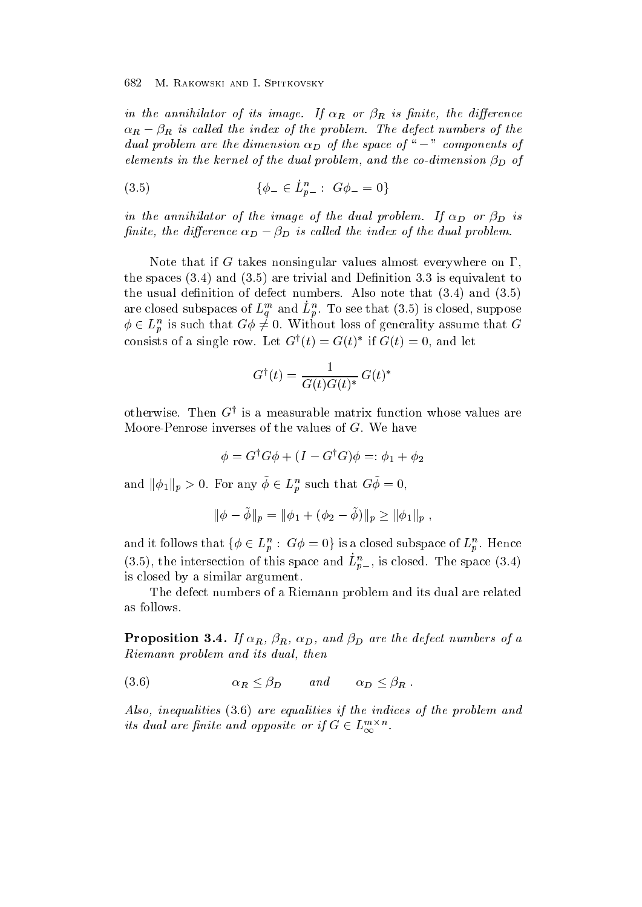in the annihilator of interesting in the annihilator of interests in the distribution of  $\alpha$  $\alpha_R - \beta_R$  is called the index of the problem. The defect numbers of the dual problem are the dimension  $\alpha_D$  of the space of "  $-$  " components of elements in the kernel of the dual problem, and the co-dimension  $\beta_D$  of

(3.5) 
$$
\{\phi_- \in L_{p-}^n : G\phi_- = 0\}
$$

in the annihilator of the international problem-dual problem-dual problem-dual problem-dual problem-dual problemfinite, the difference  $\alpha_D - \beta_D$  is called the index of the dual problem.

Note that if G takes nonsingular values almost everywhere on  $\Gamma$ , the spaces and are trivial and De-nition is equivalent to the usual de-nition of defect numbers Also note that and are closed subspaces of  $L_q$  and  $L_p$ . To see that (5.9) is closed, suppose  $\phi \in L_p^n$  is such that  $G\phi \neq 0$ . Without loss of generality assume that  $G$ consists of a single row. Let  $G^{+}(\ell) \equiv G(\ell)$  and  $G(\ell) \equiv 0$ , and let

$$
G^{\dagger}(t) = \frac{1}{G(t)G(t)^*} G(t)^*
$$

otherwise. Then  $G^+$  is a measurable matrix function whose values are Moore-Penrose inverses of the values of  $G$ . We have

$$
\phi = G^\dagger G \phi + (I - G^\dagger G) \phi =: \phi_1 + \phi_2
$$

and  $\|\phi_1\|_p > 0$ . For any  $\phi \in L_p^n$  such that  $G\phi = 0$ ,

$$
\|\phi - \tilde{\phi}\|_{p} = \|\phi_1 + (\phi_2 - \tilde{\phi})\|_{p} \ge \|\phi_1\|_{p} ,
$$

and it follows that  $\{\phi \in L_p^n : G\phi = 0\}$  is a closed subspace of  $L_p^n$ . Hence  $(5.5)$ , the intersection of this space and  $L_{p-}$ , is closed. The space  $(5.4)$ is closed by a similar argument

The defect numbers of a Riemann problem and its dual are related as follows

 $\bf{r}$  if  $\bf{r}$  and  $\bf{r}$  and  $\bf{r}$  are the defect numbers of and  $\bf{r}$ Riemann problem and its dual, then

R D and D R

Also, inequalities  $(3.6)$  are equalities if the indices of the problem and its dual are finite and opposite or if  $G \in L_{\infty}^{m \times n}$ .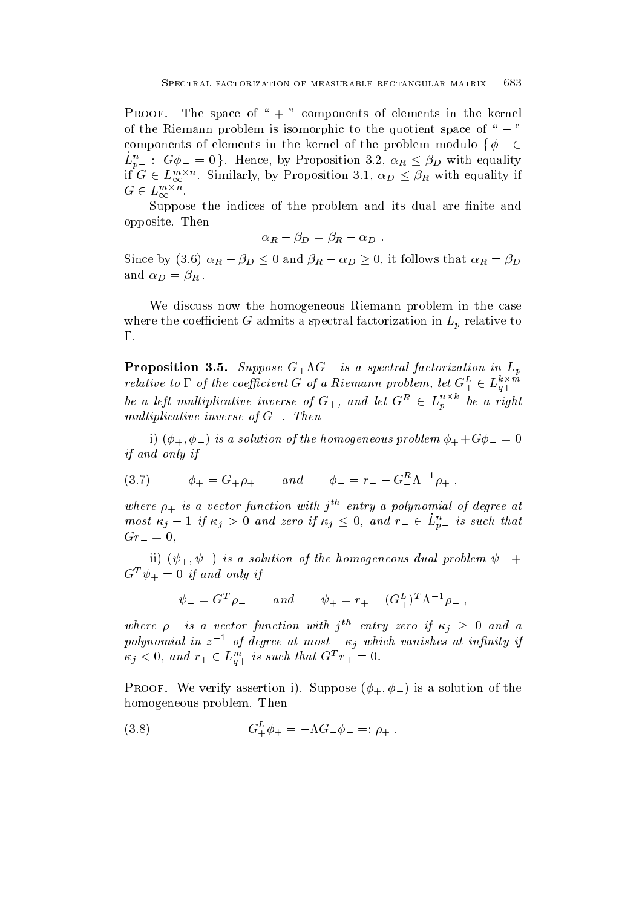Proof- The space of "  # components of elements in the kernel of the Riemann problem is isomorphic to the quotient space of " $-$ " components of elements in the kernel of the problem modulo {  $\phi_{-}\in$  $L_{p-}^n: G\phi_- = 0$ . Hence, by Proposition 3.2,  $\alpha_R \leq \beta_D$  with equality if  $G \in L_{\infty}^{m \times n}$ . Similarly, by Proposition 3.1,  $\alpha_D \leq \beta_R$  with equality if  $G \in L_{\infty}^{m \times n}$ .

Suppose the indices of the problem andits dual are -nite and opposite. Then

$$
\alpha_R - \beta_D = \beta_R - \alpha_D \; .
$$

Since by (3.6)  $\alpha_R - \beta_D \leq 0$  and  $\beta_R - \alpha_D \geq 0$ , it follows that  $\alpha_R = \beta_D$  $\mathcal{L}$  be defined by  $\mathcal{L}$ 

We discuss now the homogeneous Riemann problem in the case where the coefficient G admits a spectral factorization in  $L_p$  relative to  $\Gamma$ .

 $\mathbf{F}$  is a spectral factorization in Lemma in Lemma in Lemma in Lemma in Lemma in Lemma in Lemma in Lemma in Lemma relative to  $\Gamma$  of the coefficient G of a Riemann problem, let  $G^{\mu}_{+} \in L^{\infty}_{q+}$ be a left multiplicative inverse of  $G_{+}$ , and let  $G_{-}^{\prime\prime} \in L_{p_{-}}^{n_{-}}$  be a right multiplicative inverse inverse of G-U  $\alpha$  G-U  $\alpha$ 

in the solution of the first problem in the first contribution of  $\boldsymbol{J}$  and  $\boldsymbol{J}$  is a solution of the first contribution of  $\boldsymbol{J}$ if and only if

(3.7) 
$$
\phi_+ = G_+ \rho_+ \quad and \quad \phi_- = r_- - G_-^R \Lambda^{-1} \rho_+ \ ,
$$

where  $\rho_+$  is a vector function with  $j^{\cdots}$ -entry a polynomial of degree at most  $\kappa_j - 1$  if  $\kappa_j > 0$  and zero if  $\kappa_j \leq 0$ , and  $r_- \in L_{n_-}^n$  is such that Gr

ii)  $(\psi_+, \psi_-)$  is a solution of the homogeneous dual problem  $\psi_-$  +  $G^- v_+ = 0$  if and only if

$$
\psi_{-} = G_{-}^{T} \rho_{-} \quad and \quad \psi_{+} = r_{+} - (G_{+}^{L})^{T} \Lambda^{-1} \rho_{-} ,
$$

where  $\rho_-$  is a vector function with j<sup>th</sup> entry zero if  $\kappa_j \geq 0$  and a polynomial in  $z^{-1}$  of degree at most  $-\kappa_i$  which vanishes at infinity if  $\kappa_j < 0$ , and  $r_+ \in L_{q+}^{m}$  is such that  $G^T r_+ = 0$ .

 $\sim$  - is a strip assembly converted by  $\sim$  which is a solution of the solution of the solution of the solution of the solution of the solution of the solution of the solution of the solution of the solution of the solut homogeneous problem. Then

(3.8) 
$$
G_{+}^{L}\phi_{+} = -\Lambda G_{-}\phi_{-} =: \rho_{+} .
$$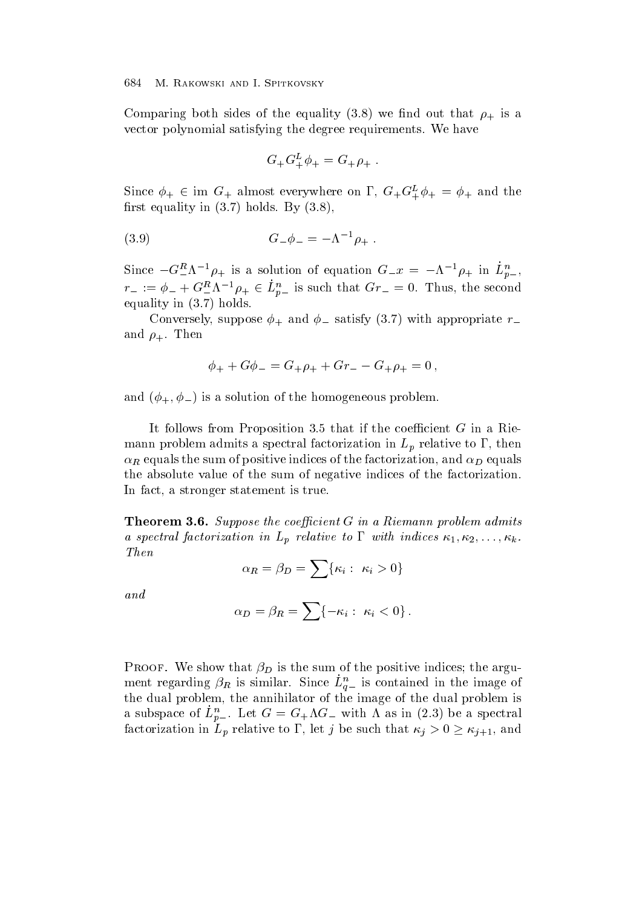the equality of the equality of the equality of the equality of the equality of the equality of the equality of the equality of the equality of the equality of the equality of the equality of the equality of the equality o vector polynomial satisfying the degree requirements. We have

$$
G_+G_+^L\phi_+ = G_+\rho_+ .
$$

Since  $\phi_+ \in \text{im } G_+$  almost everywhere on  $\Gamma$ ,  $G_+ G_+^{\mu} \phi_+ = \phi_+$  and the rst equality in the state of the state of the state of the state of the state of the state of the state of the

(3.9) 
$$
G_{-}\phi_{-} = -\Lambda^{-1}\rho_{+} .
$$

Since  $-\mathbf{G}^{-}\mathbf{A}$   $\phi_{+}$  is a solution of equation  $\mathbf{G}^{-}x = -\mathbf{A}^{-} \phi_{+}$  in  $L_{p-}^{\phi}$ ,  $r_- := \phi_- + G_-^{\alpha} \Lambda^{-1} \rho_+ \in L_{p_-}^{\alpha}$  is such that  $Gr_- = 0$ . Thus, the second equality in  $(3.7)$  holds.

 $\mathcal{L} = \mathcal{L} \cup \mathcal{L}$  suppose and  $\mathcal{L} = \mathcal{L} \cup \mathcal{L}$  and  $\mathcal{L} = \mathcal{L} \cup \mathcal{L}$  . The convex of  $\mathcal{L} = \mathcal{L} \cup \mathcal{L}$ and  $\rho_+$ . Then

$$
\phi_+ + G\phi_- = G_+\rho_+ + Gr_- - G_+\rho_+ = 0 \,,
$$

and - is a solution of the homogeneous problem and the solution of the homogeneous problem and the homogeneous

It follows from Proposition 3.5 that if the coefficient  $G$  in a Riemann problem admits a spectral factorization in  $L_p$  relative to  $\Gamma$ , then  $\alpha_R$  equals the sum of positive indices of the factorization, and  $\alpha_D$  equals the absolute value of the sum of negative indices of the factorization In fact, a stronger statement is true.

Theorem - Suppose the coecient G in a Riemann problem admitstration and the coecient G in a Riemann problem admitstration of the coecient G in a Riemann problem admitstration of the coecient G in a Riemann problem admitstr a spectral factorization in  $L_p$  relative to  $\Gamma$  with indices  $\kappa_1, \kappa_2, \ldots, \kappa_k$ . Then

$$
\alpha_R = \beta_D = \sum \{ \kappa_i : \ \kappa_i > 0 \}
$$

and

$$
\alpha_D = \beta_R = \sum \{-\kappa_i : \ \kappa_i < 0\} \, .
$$

 $\sim$  -that is the sum of the sum of the sum of the positive indices the argument  $\sim$ ment regarding  $\rho_R$  is similar. Since  $L_{g-}$  is contained in the image of the dual problem, the annihilator of the image of the dual problem is a subspace of  $L_{p-}$ . Let  $G = G_+\Lambda G_-$  with  $\Lambda$  as in (2.5) be a spectral factorization in  $L_p$  relative to  $\Gamma$ , let j be such that  $\kappa_j > 0 \geq \kappa_{j+1}$ , and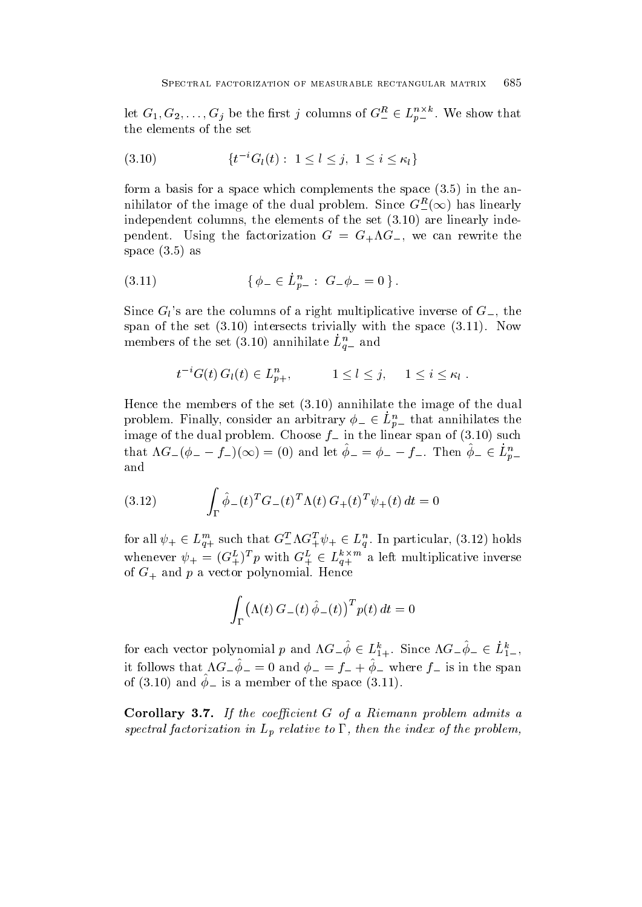let  $G_1, G_2, \ldots, G_j$  be the first j columns of  $G_{-}^{\alpha} \in L_{p}^{n}$ . We show that the elements of the set

$$
(3.10) \t\t \{t^{-i}G_l(t): 1 \le l \le j, 1 \le i \le \kappa_l\}
$$

form a basis for a space which complements the space  $(3.5)$  in the annihilator of the image of the dual problem. Since  $G_{-}^{R}(\infty)$  has linearly independent columns, the elements of the set  $(3.10)$  are linearly independent USING the factorization G  $\sim$  can rewrite the factorization G  $\sim$  can rewrite the factorization  $\sim$ space  $(3.5)$  as

$$
(3.11) \t\t \{\phi_- \in L_{p_-}^n : G_- \phi_- = 0\}.
$$

Since  $G_l$ 's are the columns of a right multiplicative inverse of  $G_{-}$ , the span of the set  $(3.10)$  intersects trivially with the space  $(3.11)$ . Now members of the set  $(3.10)$  annihilate  $L_{g-}$  and

$$
t^{-i}G(t) G_l(t) \in L_{p+}^n, \qquad 1 \leq l \leq j, \quad 1 \leq i \leq \kappa_l.
$$

Hence the members of the set  $(3.10)$  annihilate the image of the dual problem. Finally, consider an arbitrary  $\phi_- \in L_{p-}^n$  that annihilates the image of the dual problem. Choose  $f_-$  in the linear span of  $(3.10)$  such that  $\Lambda G_{-}(\phi_{-} - f_{-})(\infty) = (0)$  and let  $\phi_{-} = \phi_{-} - f_{-}$ . Then  $\phi_{-} \in L_{p-}^{n}$ and

(3.12) 
$$
\int_{\Gamma} \hat{\phi}_{-}(t)^{T} G_{-}(t)^{T} \Lambda(t) G_{+}(t)^{T} \psi_{+}(t) dt = 0
$$

for all  $\psi_+ \in L_{a+}^{m}$  such that  $G_-^{\perp} \Lambda G_+^{\perp} \psi_+ \in L_a^n$ . In particular, (3.12) holds whenever  $\psi_{+} = (G_{+}^{\mu})^T p$  with  $G_{+}^{\mu} \in L_{q_{+}}^{\nu}$  a left multiplicative inverse of G and <sup>p</sup> <sup>a</sup> vector polynomial Hence

$$
\int_{\Gamma} (\Lambda(t) G_{-}(t) \hat{\phi}_{-}(t))^{T} p(t) dt = 0
$$

for each vector polynomial p and  $\Lambda G_{-}\phi \in L_{1+}^{\infty}$ . Since  $\Lambda G_{-}\phi_{-} \in L_{1-}^{\infty}$ , It follows that  $\Lambda U - \psi = 0$  and  $\psi = -\psi = \psi - \psi$  where  $\psi = \psi$  is in the span of  $(9.10)$  and  $\psi$  is a member of the space  $(9.11)$ .

Corollary -- If the coecient <sup>G</sup> of a Riemann problem admits a spectral factorization in  $L_p$  relative to  $\Gamma$ , then the index of the problem,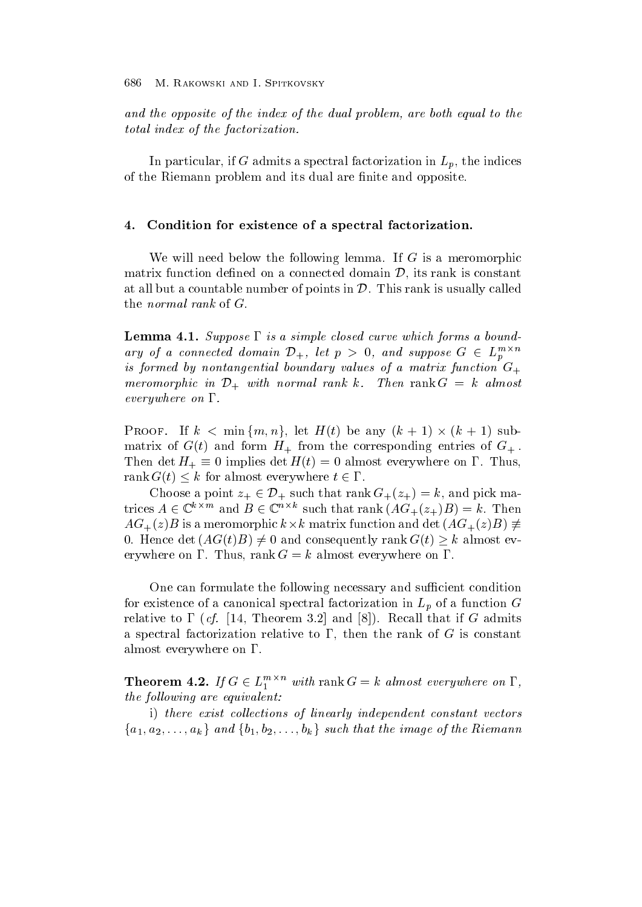and the opposite of the index of the dual problem, are both equal to the total index of the factorization.

In particular, if G admits a spectral factorization in  $L_p$ , the indices of the Riemann problem and its dual are -nite and opposite

#### $4.$ Condition for existence of a spectral factorization.

We will need below the following lemma. If  $G$  is a meromorphic matrix function defined on a connected domain  $\mathcal{D}$ , its rank is constant at all but a countable number of points in  $\mathcal{D}$ . This rank is usually called the *normal rank* of  $G$ .

Lemma -- Suppose is a simple closed curve which forms a bound ary of a connected domain  $\mathcal{D}_+$ , let  $p > 0$ , and suppose  $G \in L_n^{m \times n}$ <sup>p</sup> is formed by nontangential boundary values of a matrix function  $G_{+}$ meromorphic in  $\mathcal{D}_+$  with normal rank k. Then  $\text{rank } G = k$  almost  $everywhere on  $\Gamma$ .$ 

PROOF. If  $k < \min\{m, n\}$ , let  $H(t)$  be any  $(k + 1) \times (k + 1)$  submatrix of Gt and form H from the corresponding entries of Gt and Fig. ,  $\mathbf{r} = \mathbf{r} + \mathbf{r}$ Then det  $H_+ \equiv 0$  implies det  $H(t) = 0$  almost everywhere on T. Thus, rank  $G(t) \leq k$  for almost everywhere  $t \in \Gamma$ .

Choose a point  $z_+ \in \mathcal{D}_+$  such that rank  $G_+(z_+) = k$ , and pick matrices  $A \in \mathbb{C}^{n \times m}$  and  $B \in \mathbb{C}^{n \times n}$  such that rank  $(AG_{+}(z_{+})B) = k$ . Then  $AG_{+}(z)B$  is a meromorphic  $k \times k$  matrix function and det  $(AG_{+}(z)B) \neq$ 0. Hence det  $(AG(t)B) \neq 0$  and consequently  $\operatorname{rank} G(t) \geq k$  almost every where  $\mathbf r$  almost every where on  $\mathbf r$ 

One can formulate the following necessary and sufficient condition for existence of a canonical spectral factorization in  $L_p$  of a function  $G$ relative to a full that contracted yiel them fully well-defined and and contract the contracted of a spectral factorization relative to  $\Gamma$ , then the rank of G is constant almost everywhere on  $\Gamma$ .

**Theorem 4.2.** If  $G \in L_1^{m \times n}$  with rank  $G = k$  almost everywhere on  $\Gamma$ , the following are equivalent:

i) there exist collections of linearly independent constant vectors  ${a_1, a_2, \ldots, a_k}$  and  ${b_1, b_2, \ldots, b_k}$  such that the image of the Riemann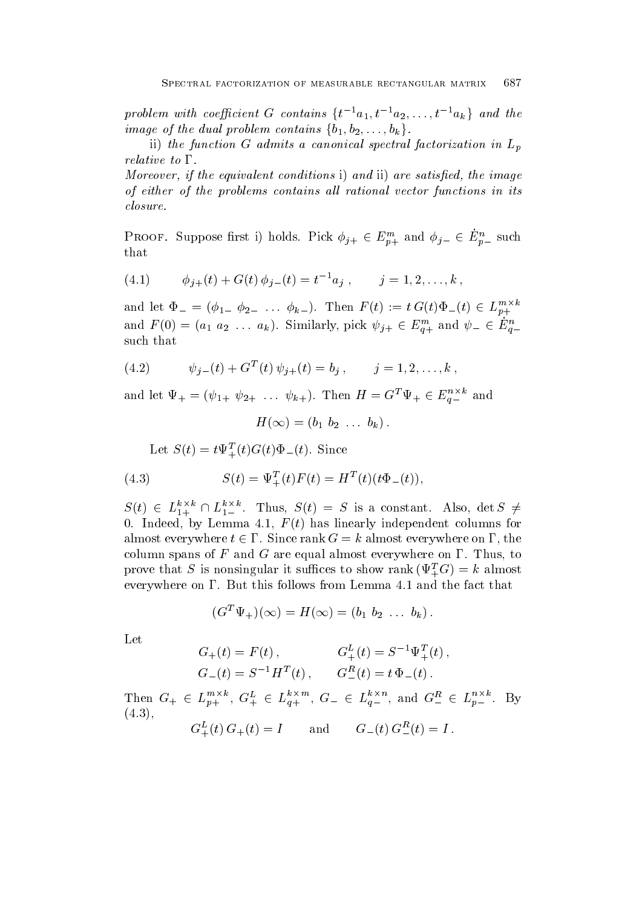problem with coefficient G contains  $\{t^{-1}a_1, t^{-1}a_2, \ldots, t^{-1}a_k\}$  and the image of the dual problem contains  $\{b_1, b_2, \ldots, b_k\}.$ 

ii) the function G admits a canonical spectral factorization in  $L_p$ relative to  $\Gamma$ .

Moreover, if the equivalent conditions i) and ii) are satisfied, the image of either of the problems contains all rational vector functions in its closure.

PROOF. Suppose first 1) holds. Pick  $\phi_{j+} \in E_{n+}^{m}$  and  $\phi_{j-} \in E_{n-}^{m}$  such that

(4.1) 
$$
\phi_{j+}(t) + G(t) \phi_{j-}(t) = t^{-1} a_j , \qquad j = 1, 2, ..., k,
$$

and let  $\Phi_{-} = (\phi_{1-} \ \phi_{2-} \ \ldots \ \phi_{k-}).$  Then  $F(t) := t G(t) \Phi_{-}(t) \in L_{p+}^{m+n}$ and  $F(0) = (a_1 \ a_2 \ \ldots \ a_k)$ . Similarly, pick  $\psi_{j+} \in E_{q+}^{m+}$  and  $\psi_{-} \in E_{q-}^{n-}$ such that

(4.2) 
$$
\psi_{j-}(t) + G^{T}(t) \psi_{j+}(t) = b_j, \qquad j = 1, 2, ..., k,
$$

and let  $\Psi_+ = (\psi_{1+} \ \psi_{2+} \ \ldots \ \psi_{k+}).$  Then  $H = G^* \ \Psi_+ \in E_{a-}^{n}$  and

$$
H(\infty) = (b_1 \ b_2 \ \ldots \ b_k).
$$

Let  $S(t) \equiv t \Psi_+(t) G(t) \Psi_-(t)$ . Since

(4.3) 
$$
S(t) = \Psi_{+}^{T}(t)F(t) = H^{T}(t)(t\Phi_{-}(t)),
$$

 $S(t) \in L_{1+}^{\kappa \times \kappa} \cap L_{1-}^{\kappa \times \kappa}$ . Thus,  $S(t) = S$  is a constant. Also, det  $S \neq$  Indeed by Lemma <sup>F</sup> t has linearly independent columns for almost everywhere  $t \in I$  . Since rank  $G = k$  almost everywhere on  $I$  , the column spans of F and G are equal almost everywhere on  $\Gamma$ . Thus, to prove that S is nonsingular it suffices to show rank  $(\Psi_+G) = \kappa$  almost everywhere on  $\Gamma$ . But this follows from Lemma 4.1 and the fact that

$$
(G^T\Psi_+)(\infty)=H(\infty)=(b_1\;b_2\;\ldots\;b_k)\,.
$$

Let

$$
G_{+}(t) = F(t), \t G_{+}^{L}(t) = S^{-1} \Psi_{+}^{T}(t),
$$
  
\n
$$
G_{-}(t) = S^{-1} H^{T}(t), \t G_{-}^{R}(t) = t \Phi_{-}(t).
$$

Then  $G_+ \in L_{p_+}^{m_+}$ ,  $G_+^{\mu_+} \in L_{q_+}^{m_+}$ ,  $G_- \in L_{q_-}^{m_-}$ , and  $G_-^{\mu_-} \in L_{p_-}^{m_-}$ . By  $(4.3).$ 

$$
G_+^L(t) G_+(t) = I
$$
 and  $G_-(t) G_-^R(t) = I$ .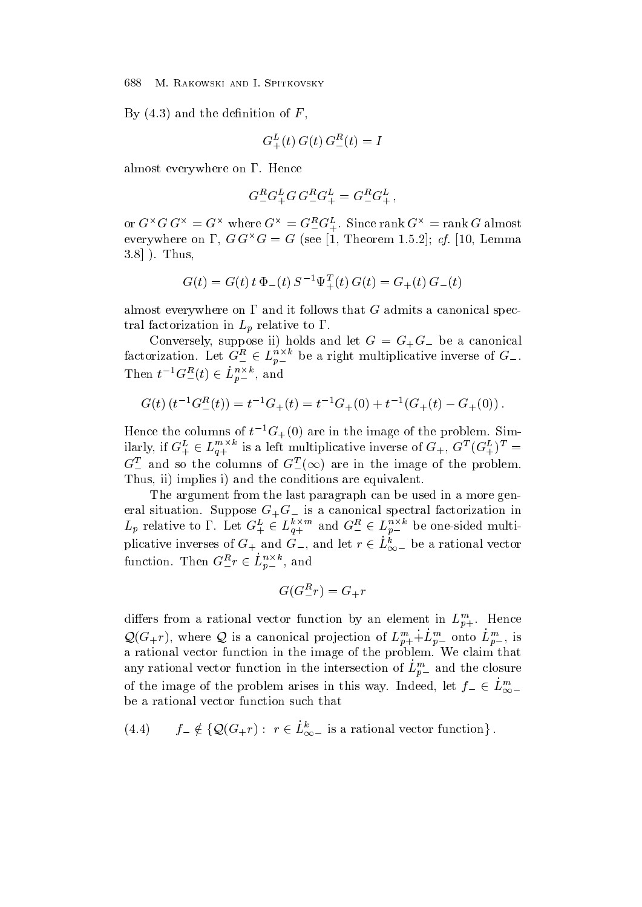$\mathbf{B}$  and the definition of  $\mathbf{B}$  and the definition of  $\mathbf{B}$ 

$$
G_+^L(t) G(t) G_-^R(t) = I
$$

almost everywhere on  $\Gamma$ . Hence

$$
G_{-}^{R}G_{+}^{L}G G_{-}^{R}G_{+}^{L}=G_{-}^{R}G_{+}^{L}\,,
$$

or  $G \cap G$   $G \cap G = G$  where  $G \cap G = G$  is  $G = G$ . Since rank  $G \cap G$  almost everywhere on **1**, GG $^{\circ}$ G  $=$  G (see [1, 1 heorem 1.5.4]; CL [10, Lemma  $3.8$ ] ). Thus,

$$
G(t) = G(t) t \Phi_{-}(t) S^{-1} \Psi_{+}^{T}(t) G(t) = G_{+}(t) G_{-}(t)
$$

almost everywhere on  $\Gamma$  and it follows that G admits a canonical spectral factorization in  $L_p$  relative to  $\Gamma$ .

conversely in the processes in the case of the and let  $G$  and  $\mathcal{G}$  and let  $G$  be a canonical contract of factorization. Let  $G^{\mu}_{-} \in L_{n-}^{*}$  be a right multiplicative inverse of  $G_{-}$ . Then  $t^{-1}G_{-}^{\prime\prime}(t) \in L_{n-}^{n \wedge n}$ , and

$$
G(t) (t^{-1} G_{-}^{R}(t)) = t^{-1} G_{+}(t) = t^{-1} G_{+}(0) + t^{-1} (G_{+}(t) - G_{+}(0)).
$$

Hence the columns of  $t^{-G}$  (U) are in the image of the problem. Similarly, if  $G^{\mu}_{+} \in L_{q+}^{m+n}$  is a left multiplicative inverse of  $G_{+}$ ,  $G^{\mu}(G_{+}^{\mu})^{\nu} =$  $G_{-}^{T}$  and so the columns of  $G_{-}^{T}(\infty)$  are in the image of the problem. Thus, ii) implies i) and the conditions are equivalent.

The argument from the last paragraph can be used in a more gen eral situation Suppose GG is <sup>a</sup> canonical spectral factorization in  $L_p$  relative to 1. Let  $G^{\mu}_{+} \in L_{q+}^{n \times m}$  and  $G^{\mu}_{-} \in L_{p-}^{n \times n}$  be one-sided multiplicative inverses of  $G_+$  and  $G_-$ , and let  $r \in L^{\infty}_{\infty}$  be a rational vector function. Then  $G^{\prime\prime}_{-}r \in L_{p-}^{n \times n}$ , and

$$
G(G^R_-r) = G_+r
$$

differs from a rational vector function by an element in  $L_{p+}^{\infty}$ . Hence  $\mathcal{Q}(G_+r)$ , where  $\mathcal Q$  is a canonical projection of  $L^m_{p+}+L^m_{p-}$  onto  $L^m_{p-}$ , is a rational vector function in the image of the problem We claim that any rational vector function in the intersection of  $L_{p\perp}$  and the closure of the image of the problem arises in this way. Indeed, let  $f_- \in L_{\infty-}^m$ be a rational vector function such that

(4.4) 
$$
f_{-} \notin \{ \mathcal{Q}(G_{+}r) : r \in L_{\infty-}^k \text{ is a rational vector function} \}.
$$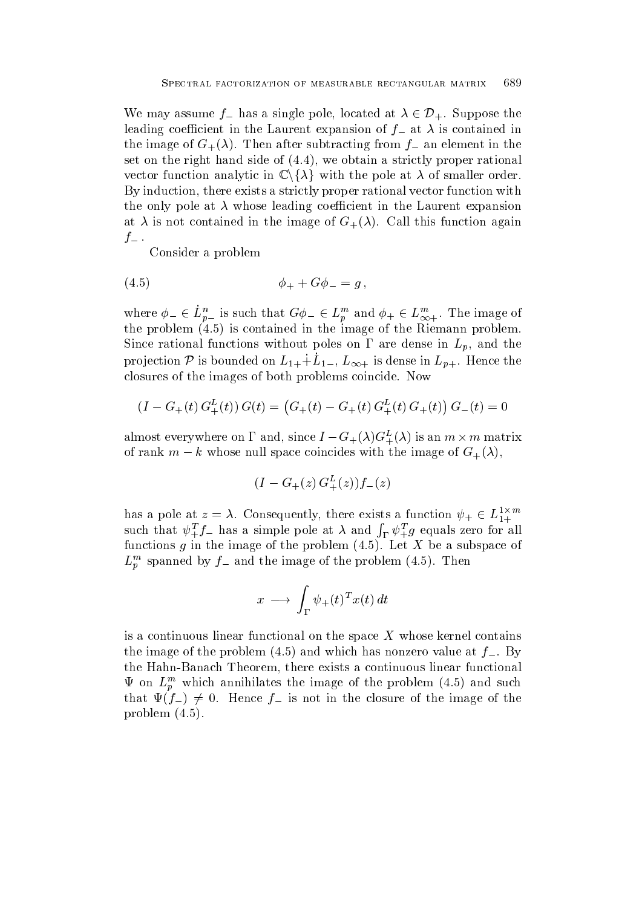We may assume  $f_{-}$  has a single pole, located at  $\lambda \in \mathcal{D}_{+}$ . Suppose the leading coefficient in the Laurent expansion of  $f_{-}$  at  $\lambda$  is contained in the image of  $G_{+}(\lambda)$ . Then after subtracting from  $f_{-}$  an element in the set on the right hand side of  $(4.4)$ , we obtain a strictly proper rational vector function analytic in  $\mathbb{C}\backslash\{\lambda\}$  with the pole at  $\lambda$  of smaller order. By induction, there exists a strictly proper rational vector function with the only pole at  $\lambda$  whose leading coefficient in the Laurent expansion at  $\lambda$  is not contained in the image of  $G_{+}(\lambda)$ . Call this function again  $f_-$ .

Consider a problem

(4.5) 
$$
\phi_{+} + G \phi_{-} = g ,
$$

where  $\phi_-\in L_{n-}^n$  is such that  $G\phi_-\in L_n^m$  and  $\phi_+\in L_{\infty+}^n$ . The image of the problem is contained in the image of the Riemann problem Since rational functions without poles on  $\Gamma$  are dense in  $L_p$ , and the projection P is bounded on  $L_{1+}+L_{1-}$ ,  $L_{\infty+}$  is dense in  $L_{p+}$ . Hence the closures of the images of both problems coincide. Now

$$
(I - G_{+}(t) G_{+}^{L}(t)) G(t) = (G_{+}(t) - G_{+}(t) G_{+}^{L}(t) G_{+}(t)) G_{-}(t) = 0
$$

almost everywhere on  $\Gamma$  and, since  $I = G_{+}(\lambda)G_{+}^{\omega}(\lambda)$  is an  $m \times m$  matrix of rank  $m - k$  whose null space coincides with the image of  $G_{+}(\lambda)$ ,

$$
(I - G_{+}(z) G_{+}^{L}(z)) f_{-}(z)
$$

has a pole at  $z = \lambda$ . Consequently, there exists a function  $\psi_+ \in L_{1+}^{+\infty}$ <br>such that  $\psi_+^T f_-$  has a simple pole at  $\lambda$  and  $\int_{\Gamma} \psi_+^T g$  equals zero for all functions g in the image of the problem  $(4.5)$ . Let X be a subspace of  $L_p$  spanned by  $f$  and the image of the problem  $(4.5)$ . Then

$$
x \longrightarrow \int_{\Gamma} \psi_+(t)^T x(t) dt
$$

is a continuous linear functional on the space  $X$  whose kernel contains the image of the problem  $(4.5)$  and which has nonzero value at  $f_{-}$ . By the Hahn-Banach Theorem, there exists a continuous linear functional  $\Psi$  on  $L_n^m$  which annihilates the image of the problem (4.5) and such that  $\Psi(f_{-}) \neq 0$ . Hence  $f_{-}$  is not in the closure of the image of the problem  $(4.5)$ .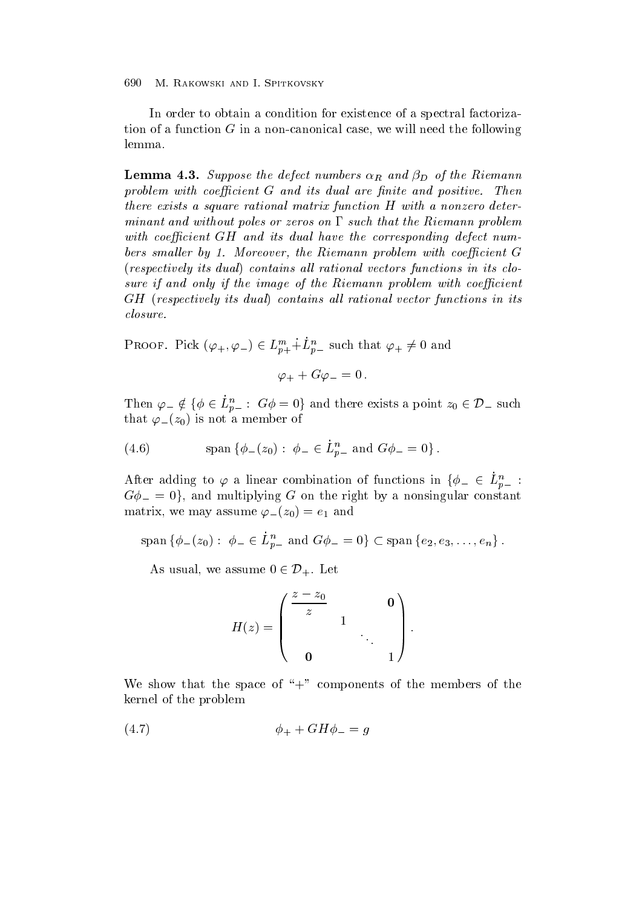In order to obtain a condition for existence of a spectral factorization of a function  $G$  in a non-canonical case, we will need the following lemma

 $L = L \cdot \frac{1}{2}$  and  $L = L \cdot \frac{1}{2}$  and  $L = L \cdot \frac{1}{2}$  and  $L = L \cdot \frac{1}{2}$  and  $L = L \cdot \frac{1}{2}$  and  $L = L \cdot \frac{1}{2}$  and  $L = L \cdot \frac{1}{2}$  and  $L = L \cdot \frac{1}{2}$  and  $L = L \cdot \frac{1}{2}$  and  $L = L \cdot \frac{1}{2}$  and  $L = L \cdot \frac{1}{2}$  and  $L = L \cdot \frac{1}{2$ problem with coecient G and its dual are nite and positive- Then there exists a square rational matrix function H with a nonzero deter minant and without poles or zeros on  $\Gamma$  such that the Riemann problem with coefficient  $GH$  and its dual have the corresponding defect numbers smal ler by -Moreover the Riemann problem withcoecient G  $(respectively its dual)$  contains all rational vectors functions in its closure if and only if the image of the Riemann problem with coefficient  $GH$  (respectively its dual) contains all rational vector functions in its closure.

PROOF. Pick  $(\varphi_+, \varphi_-) \in L_{p+}^m + L_{p-}^n$  such that  $\varphi_+ \neq 0$  and

$$
\varphi_+ + G \varphi_- = 0 \, .
$$

Then  $\varphi_-\notin\{\phi\in L^n_{n-}:\;G\phi=0\}$  and there exists a point  $z_0\in\mathcal{D}_-$  such that  $\mathbf{v}$  is not a member of a member of a member of a member of a member of a member of a member of a member of a member of a member of a member of a member of a member of a member of a member of a member of a member

(4.6) span  $\{\phi_-(z_0): \phi_-\in L_{p-}^n \text{ and } G\phi_-=0\}$ .

After adding to  $\varphi$  a linear combination of functions in  $\{\phi_-\in L^n_{p-}:\;$  $G\phi_- = 0$ , and multiplying G on the right by a nonsingular constant  $\mathbf{r} = \mathbf{v} \cdot \mathbf{v}$  assume that  $\mathbf{r} = \mathbf{v} \cdot \mathbf{v}$  , we are the set of  $\mathbf{v}$ 

 $\text{span}\left\{\phi_-(z_0):\ \phi_-\in L_{p-}^n\ \text{and}\ G\phi_-=0\right\}\subset \text{span}\left\{e_2,e_3,\ldots,e_n\right\}.$ 

As usual, we assume  $0 \in \mathcal{D}_+$ . Let

$$
H(z) = \begin{pmatrix} \frac{z - z_0}{z} & & & \mathbf{0} \\ & & 1 & & \\ & & & \ddots & \\ & & & & 1 \end{pmatrix}.
$$

We show that the space of " $+$ " components of the members of the kernel of the problem

$$
\phi_+ + GH\phi_- = g
$$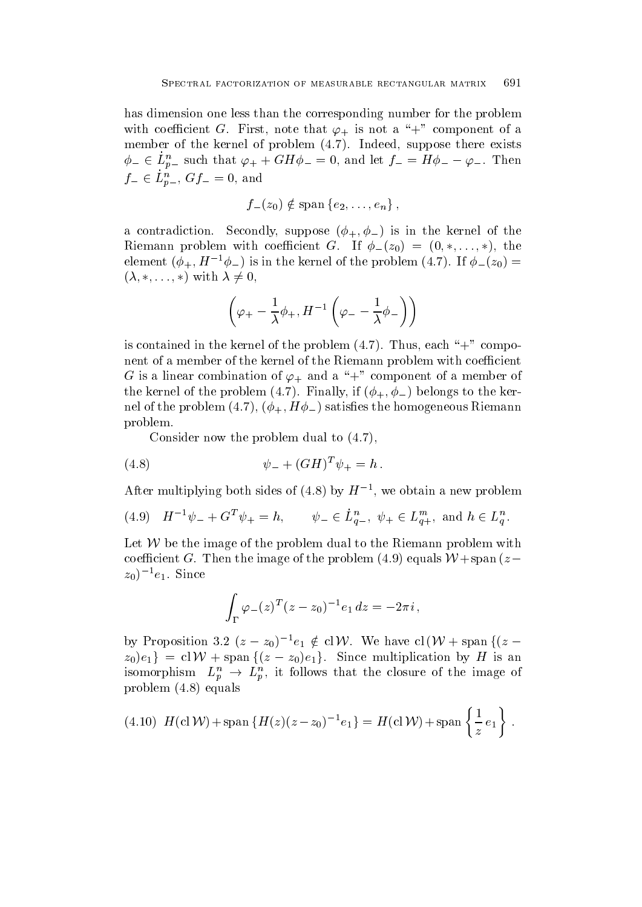has dimension one less than the corresponding number for the problem with coefficient  $\mathbf{F}$  is not a  $\mathbf{F}$  is not a set a set and a set a model of a set and a set and a set of a set  $\mathbf{F}$ member of the kernel of problem  $(4.7)$ . Indeed, suppose there exists  $\phi_- \in L_{p-}^n$  such that  $\varphi_+ + GH\phi_- = 0$ , and let  $f_- = H\phi_- - \varphi_-$ . Then  $f_-\in L_{p-}^n, Gf_-=0, \text{ and}$ 

$$
f_{-}(z_0) \notin \text{span} \{e_2, \ldots, e_n\},\
$$

a contradiction  $\mathcal{A}$  suppose  $\mathcal{A}$  suppose  $\mathcal{A}$  is the kernel of the kernel of the kernel of the kernel of the kernel of the kernel of the kernel of the kernel of the kernel of the kernel of the kernel of the k Riemann problem with coefficient G. If  $\phi_-(z_0) = (0,*,\ldots,*)$ , the element  $(\varphi_+, H^{-1}\varphi_-)$  is in the kernel of the problem (4.7). If  $\varphi_-(z_0) =$  $(\lambda, \ast, \ldots, \ast)$  with  $\lambda \neq 0$ ,

$$
\left(\varphi_+-\frac{1}{\lambda}\phi_+,H^{-1}\left(\varphi_--\frac{1}{\lambda}\phi_-\right)\right)
$$

is contained in the kernel of the problem  $(4.7)$ . Thus, each "+" component of a member of the kernel of the Riemann problem with coefficient  $\mathbf{f}$  is a linear combination of a member of a member of a member of a member of a member of a member of a member of a member of a member of a member of a member of a member of a member of a member of a member of a mem the finally of the problem (  $\rightarrow$  ) if  $\rightarrow$  (  $\rightarrow$  ) if  $\rightarrow$  ) if  $\rightarrow$  (  $\rightarrow$  ) if  $\rightarrow$  the kernel  $\rightarrow$ es the the problem  $\left\{ \begin{array}{c} - \cdot \cdot \end{array} \right\}$   $\left\{ \begin{array}{c} 1 \leq i \leq n \end{array} \right\}$  is the model of the homogeneous respectively. problem

Consider now the problem dual to  $(4.7)$ ,

(4.8) 
$$
\psi_- + (GH)^T \psi_+ = h \, .
$$

After multiplying both sides of  $(4.8)$  by  $H^{-1}$ , we obtain a new problem

$$
(4.9) \quad H^{-1}\psi_- + G^T \psi_+ = h, \qquad \psi_- \in \dot{L}^n_{q-}, \ \psi_+ \in L^m_{q+}, \text{ and } h \in L^n_q.
$$

Let  $W$  be the image of the problem dual to the Riemann problem with coefficient G. Then the image of the problem (4.9) equals  $W$ +span  $(z$  $z_0$ )  $e_1$ . Since

$$
\int_{\Gamma} \varphi_-(z)^T (z-z_0)^{-1} e_1 dz = -2\pi i ,
$$

by Proposition 3.2  $(z-z_0)^{-1}e_1 \notin \text{cl } \mathcal{W}$ . We have  $\text{cl }(\mathcal{W} + \text{span } \{(z-\tau)\}$  $z_0\{e_1\} = \text{cl } \mathcal{W} + \text{span } \{(z-z_0)e_1\}.$  Since multiplication by H is an isomorphism  $L_p^n \rightarrow L_p^n$ , it follows that the closure of the image of problem  $(4.8)$  equals

(4.10) 
$$
H(\text{cl } W) + \text{span } \{H(z)(z - z_0)^{-1}e_1\} = H(\text{cl } W) + \text{span } \{\frac{1}{z}e_1\}.
$$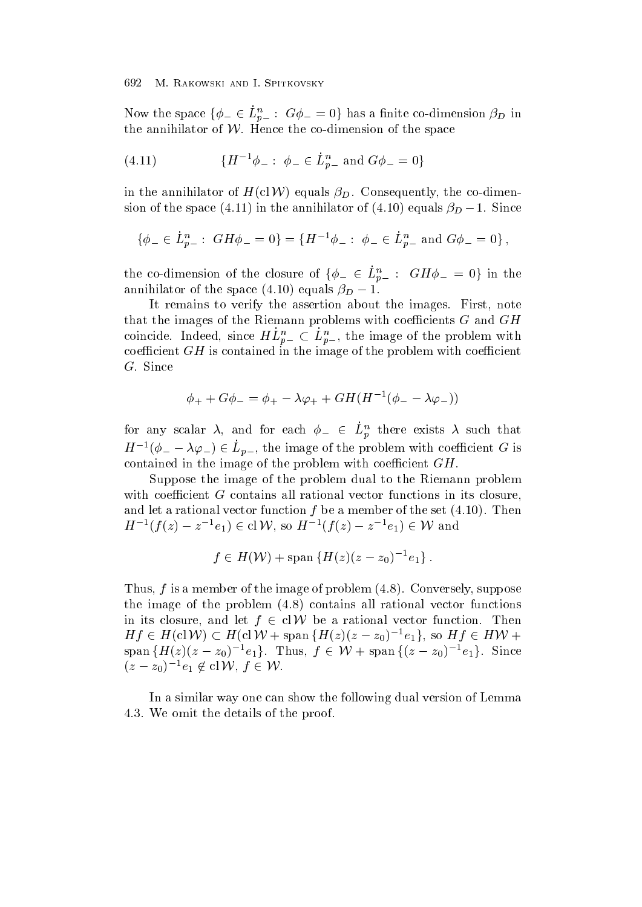Now the space  $\{\phi_-\in L_{p-}^n: G\phi_-=0\}$  has a finite co-dimension  $\beta_D$  in the annihilator of  $W$ . Hence the co-dimension of the space

(4.11) 
$$
\{H^{-1}\phi_-: \phi_-\in\dot{L}_{p-}^n \text{ and } G\phi_-=0\}
$$

in the annihilator of  $H(clW)$  equals  $\beta_D$ . Consequently, the co-dimension of the space (4.11) in the annihilator of (4.10) equals  $\beta_D - 1$ . Since

$$
\{\phi_- \in \dot{L}_{p-}^n : \; GH\phi_- = 0\} = \{H^{-1}\phi_- : \; \phi_- \in \dot{L}_{p-}^n \text{ and } G\phi_- = 0\}\,,
$$

the co-dimension of the closure of  $\{\phi_-\in L_{p-}^n: \ GH\phi_-=0\}$  in the annimiator of the space  $(4.10)$  equals  $\rho_D = 1$ .

It remains to verify the assertion about the images. First, note that the images of the Riemann problems with coefficients  $G$  and  $GH$ coincide. Indeed, since  $HL_{n-}^{\prime\prime}\subset L_{n-}^{\prime\prime}$ , the image of the problem with coefficient  $GH$  is contained in the image of the problem with coefficient  $G.$  Since

$$
\phi_+ + G\phi_- = \phi_+ - \lambda\varphi_+ + GH(H^{-1}(\phi_- - \lambda\varphi_-))
$$

for any scalar  $\lambda$ , and for each  $\phi_- \in L_p^n$  there exists  $\lambda$  such that  $H^{-1}(\phi_- - \lambda \varphi_-) \in L_{n-1}$ , the image of the problem with coefficient G is contained in the image of the problem with coefficient  $GH$ .

Suppose the image of the problem dual to the Riemann problem with coefficient  $G$  contains all rational vector functions in its closure, and let a rational vector function  $f$  be a member of the set  $(4.10)$ . Then  $H^{-1}(f(z) - z^{-1}e_1) \in \text{cl} \, \mathcal{W}$ , so  $H^{-1}(f(z) - z^{-1}e_1) \in \mathcal{W}$  and

$$
f \in H(W)
$$
 + span  $\{H(z)(z - z_0)^{-1}e_1\}$ .

Thus,  $f$  is a member of the image of problem  $(4.8)$ . Conversely, suppose the image of the problem  $(4.8)$  contains all rational vector functions in its closure, and let  $f \in \text{cl} \mathcal{W}$  be a rational vector function. Then  $Hf \in H(\text{cl}\,\mathcal{W}) \subset H(\text{cl}\,\mathcal{W} + \text{span}\left\{H(z)(z-z_0)^{-1}e_1\right\},\text{ so }Hf \in HW +$  $\text{span } \{H(z)(z-z_0)^{-1}e_1\}.$  Thus,  $f \in \mathcal{W} + \text{span } \{(z-z_0)^{-1}e_1\}.$  Since  $(z-z_0)^{-1}e_1 \notin {\rm cl}\,{\cal W},\ f\in{\cal W}.$ 

In a similar way one can show the following dual version of Lemma 4.3. We omit the details of the proof.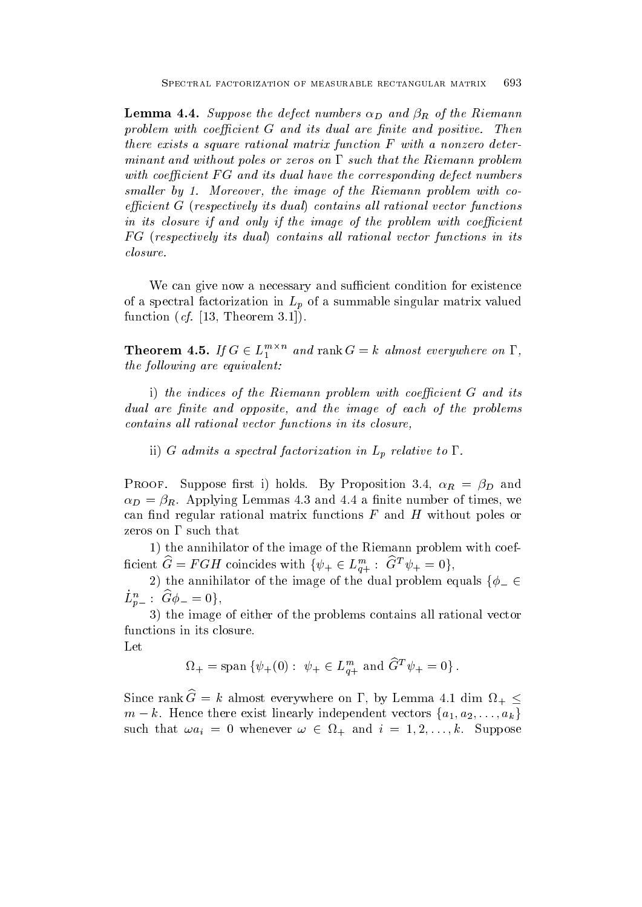$L$ emma - defect numbers defect numbers defect numbers defect numbers  $D$  and  $R$  of the Riemann  $\sigma$ problem with coecient G and its dual are nite and positive- Then there exists a square rational matrix function F with a nonzero deter minant and without poles or zeros on  $\Gamma$  such that the Riemann problem with coefficient  $FG$  and its dual have the corresponding defect numbers smal ler by -Moreover the image of the Riemann problem with co  $efficient G$  (respectively its dual) contains all rational vector functions in its closure if and only if the image of the problem with coefficient FG (respectively its dual) contains all rational vector functions in its closure.

We can give now a necessary and sufficient condition for existence of a spectral factorization in  $L_p$  of a summable singular matrix valued  $\blacksquare$  is a set of  $\blacksquare$  . In the original contract of  $\blacksquare$ 

**Theorem 4.5.** If  $G \in L_1^{m \times n}$  and rank  $G = k$  almost everywhere on  $\Gamma$ , the following are equivalent:

i) the indices of the Riemann problem with coefficient  $G$  and its dual are finite and opposite, and the image of each of the problems contains all rational vector functions in its closure,

ii) G admits a spectral factorization in  $L_p$  relative to  $\Gamma$ .

 $P$  and  $P$  is the proof-set in  $\mathcal{P}$  and  $P$  and  $P$  and  $P$  and  $P$  and  $P$  and  $P$  and  $P$  and  $P$  and  $P$  and  $P$  and  $P$  and  $P$  and  $P$  and  $P$  and  $P$  and  $P$  and  $P$  and  $P$  and  $P$  and  $P$  and  $P$  and  $P$  and  $\sim$  D and R  $_{\rm F}$  , and  $\sim$  -commutes the times of times of times of times  $_{\rm F}$  , we have the set of times  $_{\rm F}$ can -nd regular rational matrix functions F and H without poles or zeros on  $\Gamma$  such that

1) the annihilator of the image of the Riemann problem with coefficient  $G = FGH$  coincides with  $\{\psi_+ \in L_{q+}^m : G^T \psi_+ = 0\},\$ 

2) the annihilator of the image of the dual problem equals  $\{\phi_-\in$  $L_{n-}^n: G\phi_-=0\},$ 

3) the image of either of the problems contains all rational vector functions in its closure

Let

$$
\Omega_+ = \text{span} \left\{ \psi_+(0) : \psi_+ \in L_{q+}^m \text{ and } \widehat{G}^T \psi_+ = 0 \right\}.
$$

Since rank  $G = k$  almost everywhere on  $\Gamma$ , by Lemma 4.1 dim  $\Omega_+ \leq$  $m - k$ . Hence there exist linearly independent vectors  $\{a_1, a_2, \ldots, a_k\}$ such that  $\omega a_i = 0$  whenever  $\omega \in \Omega_+$  and  $i = 1, 2, \ldots, k$ . Suppose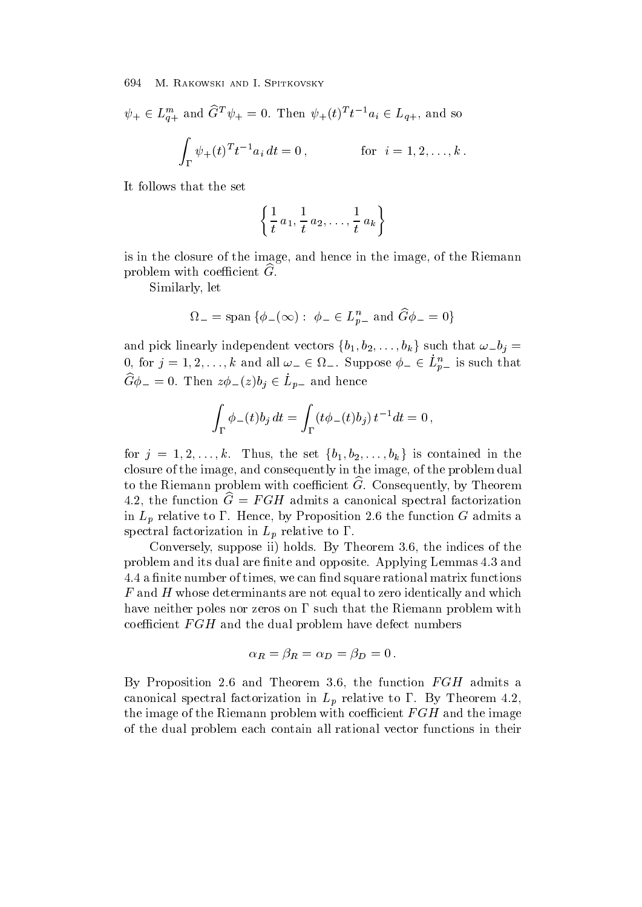$\psi_+ \in L_{a+}^{m}$  and  $G^T \psi_+ = 0$ . Then  $\psi_+(t)^T t^{-1} a_i \in L_{q+}$ , and so

$$
\int_{\Gamma} \psi_{+}(t)^{T} t^{-1} a_{i} dt = 0, \qquad \text{for} \quad i = 1, 2, \dots, k.
$$

It follows that the set

$$
\left\{\frac{1}{t}a_1,\frac{1}{t}a_2,\ldots,\frac{1}{t}a_k\right\}
$$

is in the closure of the image, and hence in the image, of the Riemann problem with coefficient  $G$ .

Similarly, let

$$
\Omega_{-}=\text{span}\left\{\phi_{-}(\infty):\ \phi_{-}\in L_{p-}^{n}\ \text{and}\ \widehat{G}\phi_{-}=0\right\}
$$

and pick linearly independent vectors  $\{b_1, b_2, \ldots, b_k\}$  such that  $\omega_b = b_j$ 0, for  $j = 1, 2, ..., k$  and all  $\omega_{-} \in \Omega_{-}$ . Suppose  $\phi_{-} \in L_{p-}^{n}$  is such that  $G\phi_- = 0$ . Then  $z\phi_-(z)b_j \in L_{p-}$  and hence

$$
\int_{\Gamma} \phi_{-}(t) b_j dt = \int_{\Gamma} (t \phi_{-}(t) b_j) t^{-1} dt = 0,
$$

for  $j = 1, 2, \ldots, k$ . Thus, the set  $\{b_1, b_2, \ldots, b_k\}$  is contained in the closure of the image, and consequently in the image, of the problem dual to the Riemann problem with coefficient  $\widetilde{G}$ . Consequently, by Theorem  $\pm .2$ , the function  $G = F \cup H$  admits a canonical spectral factorization in  $L_p$  relative to  $\Gamma$ . Hence, by Proposition 2.6 the function G admits a spectral factorization in  $L_p$  relative to  $\Gamma$ .

Conversely, suppose ii) holds. By Theorem 3.6, the indices of the problem and its dual are -nite and opposite Applying Lemmas and a - nite number of times we can - nite number of times we can - new can - new can - new can - new can - new ca  $F$  and  $H$  whose determinants are not equal to zero identically and which have neither poles nor zeros on  $\Gamma$  such that the Riemann problem with coefficient  $FGH$  and the dual problem have defect numbers

$$
\alpha_R = \beta_R = \alpha_D = \beta_D = 0 \, .
$$

By Proposition 2.6 and Theorem 3.6, the function  $FGH$  admits a canonical spectral factorization in  $L_p$  relative to  $\Gamma$ . By Theorem 4.2, the image of the Riemann problem with coefficient  $FGH$  and the image of the dual problem each contain all rational vector functions in their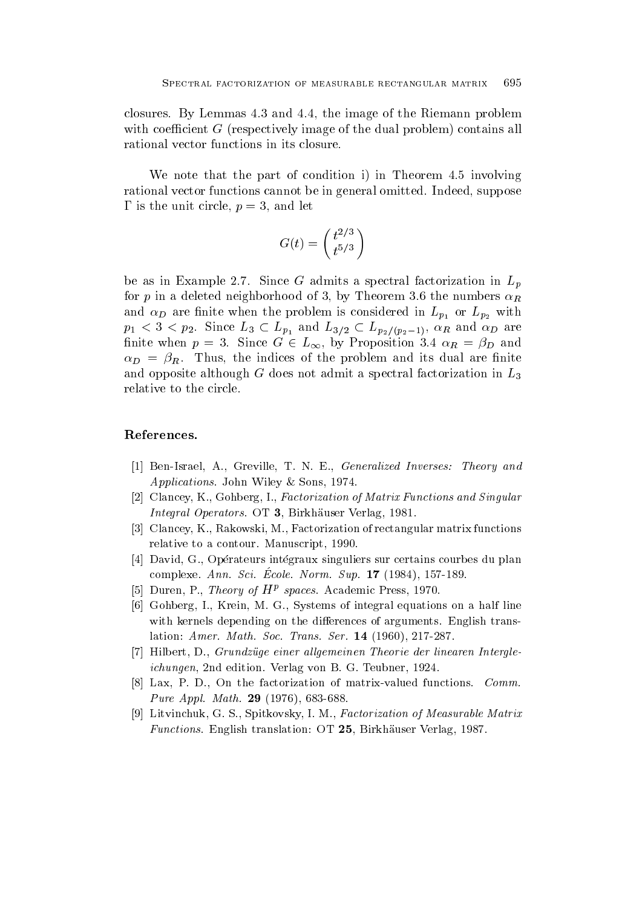closures. By Lemmas  $4.3$  and  $4.4$ , the image of the Riemann problem with coefficient  $G$  (respectively image of the dual problem) contains all rational vector functions in its closure

We note that the part of condition i) in Theorem  $4.5$  involving rational vector functions cannot be in general omitted. Indeed, suppose is the unit circle point circle point circle point circle point circle  $\mathbf p$  and  $\mathbf p$  and  $\mathbf p$  and  $\mathbf p$  and  $\mathbf p$  and  $\mathbf p$  and  $\mathbf p$  and  $\mathbf p$  and  $\mathbf p$  and  $\mathbf p$  and  $\mathbf p$  and  $\mathbf p$  and  $\mathbf p$  and  $\mathbf p$ 

$$
G(t) = \left(\frac{t^{2/3}}{t^{5/3}}\right)
$$

be as in Example 2.7. Since G admits a spectral factorization in  $L_p$ for p in a deleted neighborhood of 3, by Theorem 3.6 the numbers  $\alpha_R$ and  $D$  are different in Lep-s and the problem is considered in  $p_1$  and  $p_2$  with  $p_1 < 3 < p_2$ . Since  $L_3 \subset L_{p_1}$  and  $L_{3/2} \subset L_{p_2/(p_2-1)},$   $\alpha_R$  and  $\alpha_D$  are finite when  $p = 3$ . Since  $G \in L_{\infty}$ , by Proposition 3.4  $\alpha_R = \beta_D$  and d and the indices of the problem and its dual are - the problem and its dual are - the problem and its dual are and opposite although  $G$  does not admit a spectral factorization in  $L_3$ relative to the circle

# References-

- Is a greater of the Greater Institute Inverse and the Christian Inverse in the Christian Inverse and the Chris Applications John Wiley Sons -
- [2] Clancey, K., Gohberg, I., Factorization of Matrix Functions and Singular Integral Operators OT Birkhauser Verlag -
- [3] Clancey, K., Rakowski, M., Factorization of rectangular matrix functions relative to a contour Manuscript --
- [4] David, G., Opérateurs intégraux singuliers sur certains courbes du plan complexe.  $Amin$ ,  $D\epsilon k$ ,  $D\epsilon\delta k$ , iverity,  $D\alpha p$ , it (1904), 191-109.
- $\Box$  Duren, P., *Incory of*  $H^F$  *spaces.* Academic Press, 1970.
- [6] Gohberg, I., Krein, M. G., Systems of integral equations on a half line with kernels depending on the differences of arguments. English translation american service of the Society of the service of the Service of the Service of the Service of the Servi
- [7] Hilbert, D., Grundzüge einer allgemeinen Theorie der linearen Intergleichungen na edition verlag von B G Teubner - verlag von B G Teubner - verlag von B G Teubner - verlag von B Te
- Lax P D On the factorization of matrix
valued functions Comm Pure Applications are the set of the set of the set of the set of the set of the set of the set of the set of
- . The contract state of the Spitter State is the Spite Matrix of Measurable Matrix I and Measurable Matrix and  $\mathbf{F}$  . The construction of  $\mathbf{F}$  is the construction of  $\mathbf{F}$  . The construction of  $\mathbf{F}$